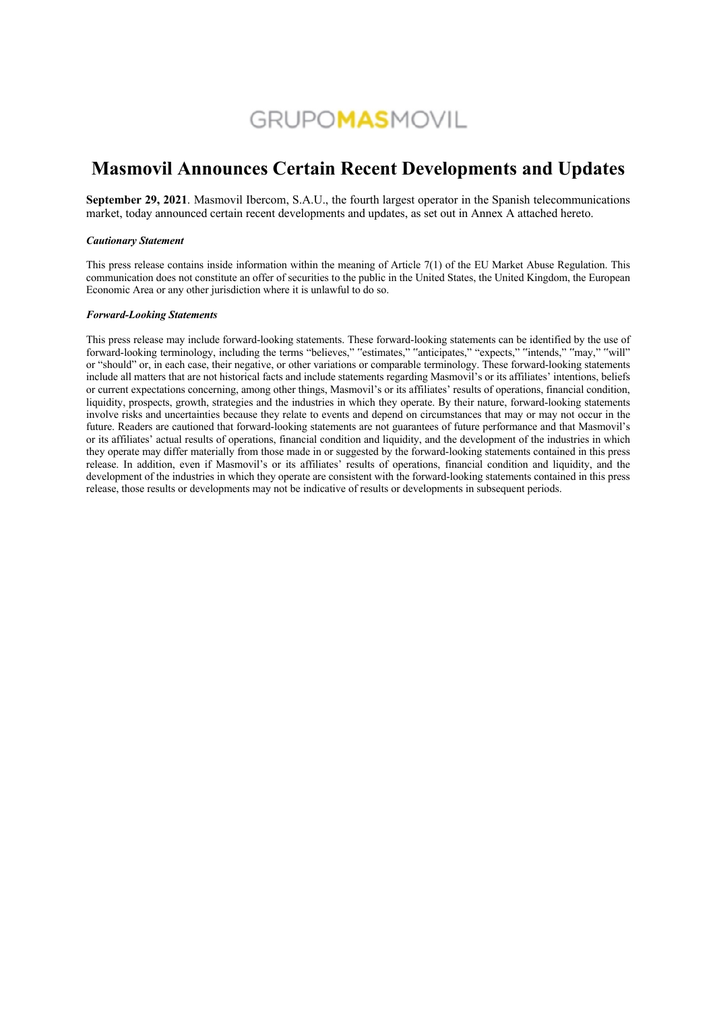# **GRUPOMASMOVIL**

# **Masmovil Announces Certain Recent Developments and Updates**

**September 29, 2021**. Masmovil Ibercom, S.A.U., the fourth largest operator in the Spanish telecommunications market, today announced certain recent developments and updates, as set out in Annex A attached hereto.

#### *Cautionary Statement*

This press release contains inside information within the meaning of Article 7(1) of the EU Market Abuse Regulation. This communication does not constitute an offer of securities to the public in the United States, the United Kingdom, the European Economic Area or any other jurisdiction where it is unlawful to do so.

#### *Forward-Looking Statements*

This press release may include forward-looking statements. These forward-looking statements can be identified by the use of forward-looking terminology, including the terms "believes," "estimates," "anticipates," "expects," "intends," "may," "will" or "should" or, in each case, their negative, or other variations or comparable terminology. These forward-looking statements include all matters that are not historical facts and include statements regarding Masmovil's or its affiliates' intentions, beliefs or current expectations concerning, among other things, Masmovil's or its affiliates' results of operations, financial condition, liquidity, prospects, growth, strategies and the industries in which they operate. By their nature, forward-looking statements involve risks and uncertainties because they relate to events and depend on circumstances that may or may not occur in the future. Readers are cautioned that forward-looking statements are not guarantees of future performance and that Masmovil's or its affiliates' actual results of operations, financial condition and liquidity, and the development of the industries in which they operate may differ materially from those made in or suggested by the forward-looking statements contained in this press release. In addition, even if Masmovil's or its affiliates' results of operations, financial condition and liquidity, and the development of the industries in which they operate are consistent with the forward-looking statements contained in this press release, those results or developments may not be indicative of results or developments in subsequent periods.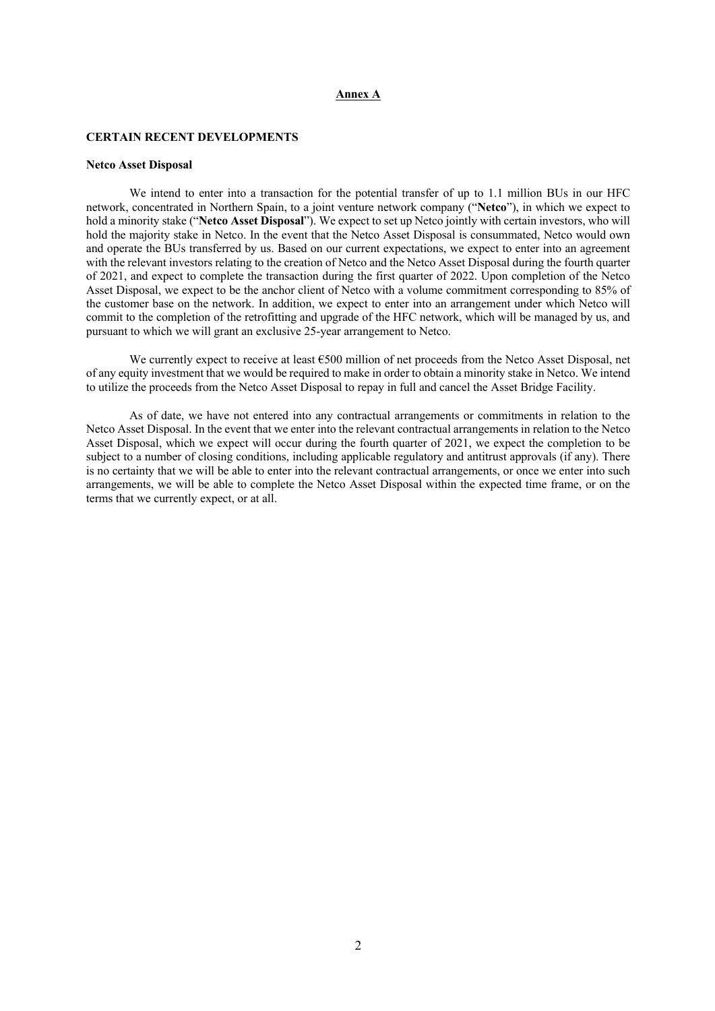#### **Annex A**

# **CERTAIN RECENT DEVELOPMENTS**

#### **Netco Asset Disposal**

We intend to enter into a transaction for the potential transfer of up to 1.1 million BUs in our HFC network, concentrated in Northern Spain, to a joint venture network company ("**Netco**"), in which we expect to hold a minority stake ("**Netco Asset Disposal**"). We expect to set up Netco jointly with certain investors, who will hold the majority stake in Netco. In the event that the Netco Asset Disposal is consummated, Netco would own and operate the BUs transferred by us. Based on our current expectations, we expect to enter into an agreement with the relevant investors relating to the creation of Netco and the Netco Asset Disposal during the fourth quarter of 2021, and expect to complete the transaction during the first quarter of 2022. Upon completion of the Netco Asset Disposal, we expect to be the anchor client of Netco with a volume commitment corresponding to 85% of the customer base on the network. In addition, we expect to enter into an arrangement under which Netco will commit to the completion of the retrofitting and upgrade of the HFC network, which will be managed by us, and pursuant to which we will grant an exclusive 25-year arrangement to Netco.

We currently expect to receive at least €500 million of net proceeds from the Netco Asset Disposal, net of any equity investment that we would be required to make in order to obtain a minority stake in Netco. We intend to utilize the proceeds from the Netco Asset Disposal to repay in full and cancel the Asset Bridge Facility.

As of date, we have not entered into any contractual arrangements or commitments in relation to the Netco Asset Disposal. In the event that we enter into the relevant contractual arrangements in relation to the Netco Asset Disposal, which we expect will occur during the fourth quarter of 2021, we expect the completion to be subject to a number of closing conditions, including applicable regulatory and antitrust approvals (if any). There is no certainty that we will be able to enter into the relevant contractual arrangements, or once we enter into such arrangements, we will be able to complete the Netco Asset Disposal within the expected time frame, or on the terms that we currently expect, or at all.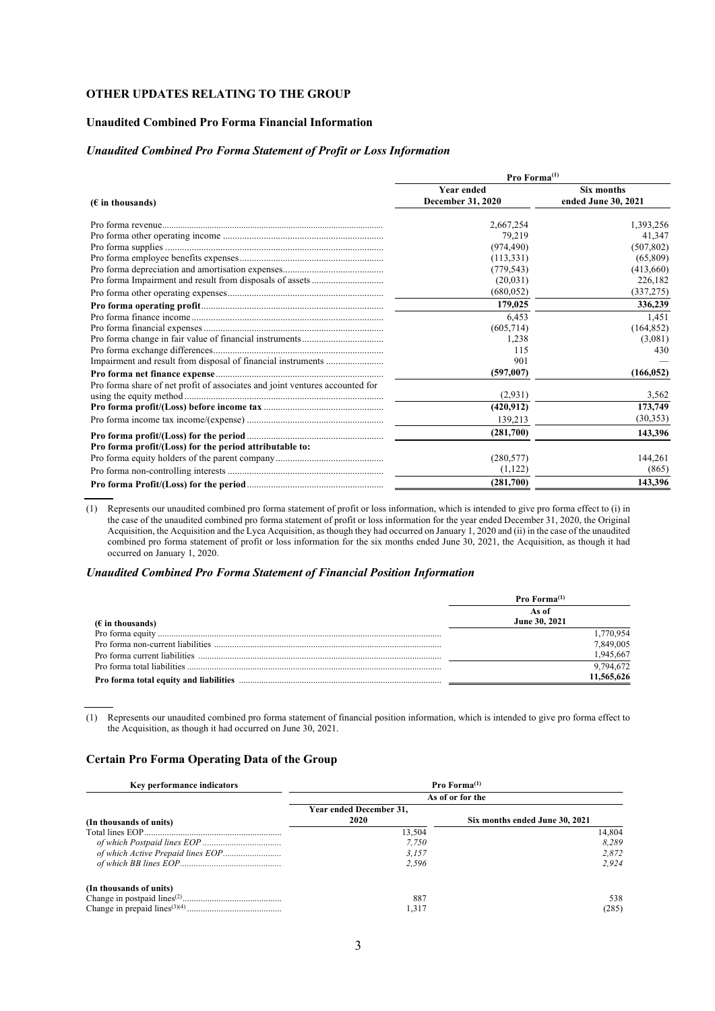# **OTHER UPDATES RELATING TO THE GROUP**

# **Unaudited Combined Pro Forma Financial Information**

# *Unaudited Combined Pro Forma Statement of Profit or Loss Information*

|                                                                              | Pro Forma $(1)$   |                     |  |  |
|------------------------------------------------------------------------------|-------------------|---------------------|--|--|
|                                                                              | <b>Year ended</b> | Six months          |  |  |
| $(E$ in thousands)                                                           | December 31, 2020 | ended June 30, 2021 |  |  |
|                                                                              | 2,667,254         | 1,393,256           |  |  |
|                                                                              | 79.219            | 41.347              |  |  |
|                                                                              | (974, 490)        | (507, 802)          |  |  |
|                                                                              | (113, 331)        | (65,809)            |  |  |
|                                                                              | (779, 543)        | (413,660)           |  |  |
|                                                                              | (20,031)          | 226,182             |  |  |
|                                                                              | (680, 052)        | (337, 275)          |  |  |
|                                                                              | 179,025           | 336,239             |  |  |
|                                                                              | 6,453             | 1,451               |  |  |
|                                                                              | (605, 714)        | (164, 852)          |  |  |
|                                                                              | 1,238             | (3,081)             |  |  |
|                                                                              | 115               | 430                 |  |  |
|                                                                              | 901               |                     |  |  |
|                                                                              | (597,007)         | (166, 052)          |  |  |
| Pro forma share of net profit of associates and joint ventures accounted for |                   |                     |  |  |
|                                                                              | (2,931)           | 3,562               |  |  |
|                                                                              | (420, 912)        | 173,749             |  |  |
|                                                                              | 139,213           | (30, 353)           |  |  |
|                                                                              | (281,700)         | 143,396             |  |  |
| Pro forma profit/(Loss) for the period attributable to:                      |                   |                     |  |  |
|                                                                              | (280, 577)        | 144,261             |  |  |
|                                                                              | (1,122)           | (865)               |  |  |
|                                                                              | (281,700)         | 143,396             |  |  |

(1) Represents our unaudited combined pro forma statement of profit or loss information, which is intended to give pro forma effect to (i) in the case of the unaudited combined pro forma statement of profit or loss information for the year ended December 31, 2020, the Original Acquisition, the Acquisition and the Lyca Acquisition, as though they had occurred on January 1, 2020 and (ii) in the case of the unaudited combined pro forma statement of profit or loss information for the six months ended June 30, 2021, the Acquisition, as though it had occurred on January 1, 2020.

#### *Unaudited Combined Pro Forma Statement of Financial Position Information*

|                           | <b>Pro Forma</b> $^{(1)}$ |
|---------------------------|---------------------------|
|                           | As of                     |
| $(\epsilon$ in thousands) | June 30, 2021             |
|                           | 1.770.954                 |
|                           | 7.849.005                 |
|                           | 1,945,667                 |
|                           | 9.794.672                 |
|                           | 11,565,626                |

(1) Represents our unaudited combined pro forma statement of financial position information, which is intended to give pro forma effect to the Acquisition, as though it had occurred on June 30, 2021.

# **Certain Pro Forma Operating Data of the Group**

| Key performance indicators        | Pro $Forma^{(1)}$               |                                |  |  |
|-----------------------------------|---------------------------------|--------------------------------|--|--|
|                                   | As of or for the                |                                |  |  |
| (In thousands of units)           | Year ended December 31,<br>2020 | Six months ended June 30, 2021 |  |  |
|                                   | 13,504                          | 14,804                         |  |  |
|                                   | 7.750                           | 8.289                          |  |  |
| of which Active Prepaid lines EOP | 3.157                           | 2,872                          |  |  |
|                                   | 2.596                           | 2.924                          |  |  |
| (In thousands of units)           |                                 |                                |  |  |
|                                   | 887                             | 538                            |  |  |
|                                   | 1.317                           | (285)                          |  |  |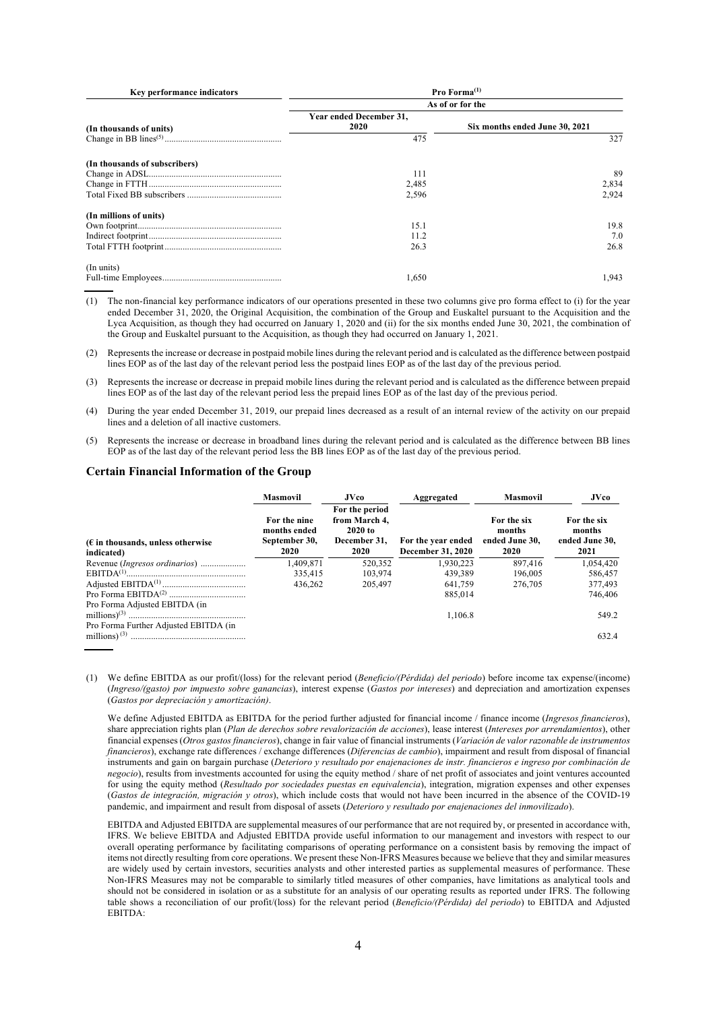| Key performance indicators    | Pro Forma $(1)$                 |                                |  |  |
|-------------------------------|---------------------------------|--------------------------------|--|--|
|                               | As of or for the                |                                |  |  |
| (In thousands of units)       | Year ended December 31,<br>2020 | Six months ended June 30, 2021 |  |  |
|                               | 475                             | 327                            |  |  |
| (In thousands of subscribers) |                                 |                                |  |  |
|                               | 111                             | 89                             |  |  |
|                               | 2,485                           | 2,834                          |  |  |
|                               | 2,596                           | 2.924                          |  |  |
| (In millions of units)        |                                 |                                |  |  |
|                               | 15.1                            | 19.8                           |  |  |
|                               | 11.2                            | 7.0                            |  |  |
|                               | 26.3                            | 26.8                           |  |  |
| (In units)                    |                                 |                                |  |  |
|                               | 1.650                           | 1.943                          |  |  |

(1) The non-financial key performance indicators of our operations presented in these two columns give pro forma effect to (i) for the year ended December 31, 2020, the Original Acquisition, the combination of the Group and Euskaltel pursuant to the Acquisition and the Lyca Acquisition, as though they had occurred on January 1, 2020 and (ii) for the six months ended June 30, 2021, the combination of the Group and Euskaltel pursuant to the Acquisition, as though they had occurred on January 1, 2021.

(2) Represents the increase or decrease in postpaid mobile lines during the relevant period and is calculated as the difference between postpaid lines EOP as of the last day of the relevant period less the postpaid lines EOP as of the last day of the previous period.

(3) Represents the increase or decrease in prepaid mobile lines during the relevant period and is calculated as the difference between prepaid lines EOP as of the last day of the relevant period less the prepaid lines EOP as of the last day of the previous period.

(4) During the year ended December 31, 2019, our prepaid lines decreased as a result of an internal review of the activity on our prepaid lines and a deletion of all inactive customers.

(5) Represents the increase or decrease in broadband lines during the relevant period and is calculated as the difference between BB lines EOP as of the last day of the relevant period less the BB lines EOP as of the last day of the previous period.

#### **Certain Financial Information of the Group**

|                                                                        | <b>Masmovil</b>                                       | <b>JVco</b>                                                        | Aggregated                              | <b>Masmovil</b>                                        | <b>JVco</b>                                     |
|------------------------------------------------------------------------|-------------------------------------------------------|--------------------------------------------------------------------|-----------------------------------------|--------------------------------------------------------|-------------------------------------------------|
| $(\epsilon$ in thousands, unless otherwise<br>indicated)               | For the nine<br>months ended<br>September 30,<br>2020 | For the period<br>from March 4.<br>2020 to<br>December 31,<br>2020 | For the year ended<br>December 31, 2020 | For the six<br>months<br>ended June 30.<br><b>2020</b> | For the six<br>months<br>ended June 30,<br>2021 |
| Revenue ( <i>Ingresos ordinarios</i> )                                 | 1.409.871                                             | 520,352                                                            | 1.930.223                               | 897,416                                                | 1.054.420                                       |
|                                                                        | 335,415                                               | 103.974                                                            | 439.389                                 | 196,005                                                | 586,457                                         |
|                                                                        | 436,262                                               | 205,497                                                            | 641.759                                 | 276,705                                                | 377,493                                         |
|                                                                        |                                                       |                                                                    | 885,014                                 |                                                        | 746,406                                         |
| Pro Forma Adjusted EBITDA (in<br>Pro Forma Further Adjusted EBITDA (in |                                                       |                                                                    | 1.106.8                                 |                                                        | 549.2                                           |
| millions) $(3)$                                                        |                                                       |                                                                    |                                         |                                                        | 632.4                                           |

(1) We define EBITDA as our profit/(loss) for the relevant period (*Beneficio/(Pérdida) del periodo*) before income tax expense/(income) (*Ingreso/(gasto) por impuesto sobre ganancias*), interest expense (*Gastos por intereses*) and depreciation and amortization expenses (*Gastos por depreciación y amortización)*.

We define Adjusted EBITDA as EBITDA for the period further adjusted for financial income / finance income (*Ingresos financieros*), share appreciation rights plan (*Plan de derechos sobre revalorización de acciones*), lease interest (*Intereses por arrendamientos*), other financial expenses (*Otros gastos financieros*), change in fair value of financial instruments (*Variación de valor razonable de instrumentos financieros*), exchange rate differences / exchange differences (*Diferencias de cambio*), impairment and result from disposal of financial instruments and gain on bargain purchase (*Deterioro y resultado por enajenaciones de instr. financieros e ingreso por combinación de negocio*), results from investments accounted for using the equity method / share of net profit of associates and joint ventures accounted for using the equity method (*Resultado por sociedades puestas en equivalencia*), integration, migration expenses and other expenses (*Gastos de integración, migración y otros*), which include costs that would not have been incurred in the absence of the COVID-19 pandemic, and impairment and result from disposal of assets (*Deterioro y resultado por enajenaciones del inmovilizado*).

EBITDA and Adjusted EBITDA are supplemental measures of our performance that are not required by, or presented in accordance with, IFRS. We believe EBITDA and Adjusted EBITDA provide useful information to our management and investors with respect to our overall operating performance by facilitating comparisons of operating performance on a consistent basis by removing the impact of items not directly resulting from core operations. We present these Non-IFRS Measures because we believe that they and similar measures are widely used by certain investors, securities analysts and other interested parties as supplemental measures of performance. These Non-IFRS Measures may not be comparable to similarly titled measures of other companies, have limitations as analytical tools and should not be considered in isolation or as a substitute for an analysis of our operating results as reported under IFRS. The following table shows a reconciliation of our profit/(loss) for the relevant period (*Beneficio/(Pérdida) del periodo*) to EBITDA and Adjusted EBITDA: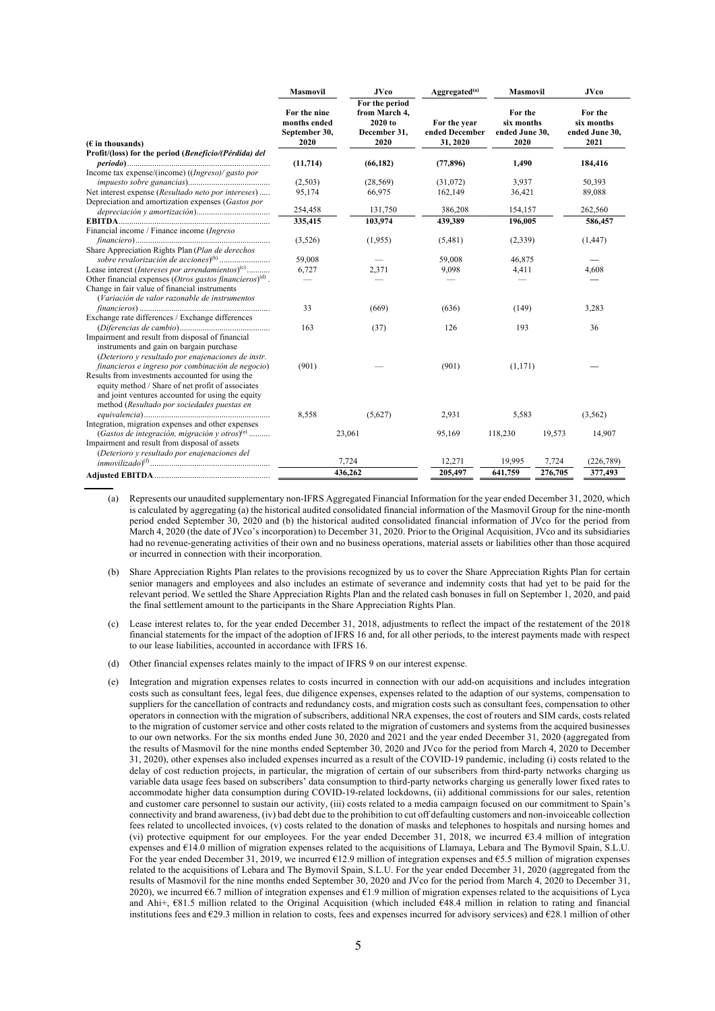|                                                                                                                                                                                                                                                                | <b>Masmovil</b>                                       | <b>JVco</b>                                                        | Aggregated <sup>(a)</sup>                  | <b>Masmovil</b>                                 |         | <b>JVco</b>                                     |
|----------------------------------------------------------------------------------------------------------------------------------------------------------------------------------------------------------------------------------------------------------------|-------------------------------------------------------|--------------------------------------------------------------------|--------------------------------------------|-------------------------------------------------|---------|-------------------------------------------------|
| $(E$ in thousands)                                                                                                                                                                                                                                             | For the nine<br>months ended<br>September 30,<br>2020 | For the period<br>from March 4,<br>2020 to<br>December 31,<br>2020 | For the year<br>ended December<br>31, 2020 | For the<br>six months<br>ended June 30,<br>2020 |         | For the<br>six months<br>ended June 30,<br>2021 |
| Profit/(loss) for the period (Beneficio/(Pérdida) del                                                                                                                                                                                                          | (11, 714)                                             | (66, 182)                                                          | (77, 896)                                  | 1,490                                           |         | 184,416                                         |
| Income tax expense/(income) ((Ingreso)/ gasto por                                                                                                                                                                                                              |                                                       |                                                                    |                                            |                                                 |         |                                                 |
|                                                                                                                                                                                                                                                                | (2,503)                                               | (28, 569)                                                          | (31,072)                                   | 3,937                                           |         | 50,393                                          |
| Net interest expense (Resultado neto por intereses)                                                                                                                                                                                                            | 95,174                                                | 66,975                                                             | 162,149                                    | 36,421                                          |         | 89,088                                          |
| Depreciation and amortization expenses (Gastos por                                                                                                                                                                                                             |                                                       |                                                                    |                                            |                                                 |         |                                                 |
|                                                                                                                                                                                                                                                                | 254,458                                               | 131,750                                                            | 386,208                                    | 154,157                                         |         | 262,560                                         |
|                                                                                                                                                                                                                                                                | 335,415                                               | 103,974                                                            | 439,389                                    | 196,005                                         |         | 586,457                                         |
| Financial income / Finance income (Ingreso                                                                                                                                                                                                                     |                                                       |                                                                    |                                            |                                                 |         |                                                 |
|                                                                                                                                                                                                                                                                | (3,526)                                               | (1,955)                                                            | (5,481)                                    | (2,339)                                         |         | (1, 447)                                        |
| Share Appreciation Rights Plan (Plan de derechos                                                                                                                                                                                                               |                                                       |                                                                    |                                            |                                                 |         |                                                 |
|                                                                                                                                                                                                                                                                | 59,008                                                |                                                                    | 59,008                                     | 46,875                                          |         |                                                 |
| Lease interest (Intereses por arrendamientos) <sup>(c)</sup>                                                                                                                                                                                                   | 6,727                                                 | 2,371                                                              | 9,098                                      | 4,411                                           |         | 4,608                                           |
| Other financial expenses (Otros gastos financieros) $(d)$ .                                                                                                                                                                                                    |                                                       |                                                                    |                                            |                                                 |         |                                                 |
| Change in fair value of financial instruments<br>(Variación de valor razonable de instrumentos                                                                                                                                                                 |                                                       |                                                                    |                                            |                                                 |         |                                                 |
|                                                                                                                                                                                                                                                                | 33                                                    | (669)                                                              | (636)                                      | (149)                                           |         | 3,283                                           |
| Exchange rate differences / Exchange differences                                                                                                                                                                                                               |                                                       |                                                                    |                                            |                                                 |         |                                                 |
|                                                                                                                                                                                                                                                                | 163                                                   | (37)                                                               | 126                                        | 193                                             |         | 36                                              |
| Impairment and result from disposal of financial<br>instruments and gain on bargain purchase<br>(Deterioro y resultado por enajenaciones de instr.                                                                                                             |                                                       |                                                                    |                                            |                                                 |         |                                                 |
| financieros e ingreso por combinación de negocio)<br>Results from investments accounted for using the<br>equity method / Share of net profit of associates<br>and joint ventures accounted for using the equity<br>method (Resultado por sociedades puestas en | (901)                                                 |                                                                    | (901)                                      | (1,171)                                         |         |                                                 |
|                                                                                                                                                                                                                                                                | 8,558                                                 | (5,627)                                                            | 2,931                                      | 5,583                                           |         | (3, 562)                                        |
| Integration, migration expenses and other expenses                                                                                                                                                                                                             |                                                       |                                                                    |                                            |                                                 |         |                                                 |
| (Gastos de integración, migración y otros) $^{(e)}$<br>Impairment and result from disposal of assets                                                                                                                                                           |                                                       | 23,061                                                             | 95,169                                     | 118,230                                         | 19,573  | 14,907                                          |
| (Deterioro y resultado por enajenaciones del                                                                                                                                                                                                                   |                                                       | 7.724                                                              | 12,271                                     | 19.995                                          | 7.724   | (226, 789)                                      |
|                                                                                                                                                                                                                                                                |                                                       | 436,262                                                            | 205,497                                    | 641,759                                         | 276,705 | 377,493                                         |
|                                                                                                                                                                                                                                                                |                                                       |                                                                    |                                            |                                                 |         |                                                 |

(a) Represents our unaudited supplementary non-IFRS Aggregated Financial Information for the year ended December 31, 2020, which is calculated by aggregating (a) the historical audited consolidated financial information of the Masmovil Group for the nine-month period ended September 30, 2020 and (b) the historical audited consolidated financial information of JVco for the period from March 4, 2020 (the date of JVco's incorporation) to December 31, 2020. Prior to the Original Acquisition, JVco and its subsidiaries had no revenue-generating activities of their own and no business operations, material assets or liabilities other than those acquired or incurred in connection with their incorporation.

- (b) Share Appreciation Rights Plan relates to the provisions recognized by us to cover the Share Appreciation Rights Plan for certain senior managers and employees and also includes an estimate of severance and indemnity costs that had yet to be paid for the relevant period. We settled the Share Appreciation Rights Plan and the related cash bonuses in full on September 1, 2020, and paid the final settlement amount to the participants in the Share Appreciation Rights Plan.
- (c) Lease interest relates to, for the year ended December 31, 2018, adjustments to reflect the impact of the restatement of the 2018 financial statements for the impact of the adoption of IFRS 16 and, for all other periods, to the interest payments made with respect to our lease liabilities, accounted in accordance with IFRS 16.
- (d) Other financial expenses relates mainly to the impact of IFRS 9 on our interest expense.
- (e) Integration and migration expenses relates to costs incurred in connection with our add-on acquisitions and includes integration costs such as consultant fees, legal fees, due diligence expenses, expenses related to the adaption of our systems, compensation to suppliers for the cancellation of contracts and redundancy costs, and migration costs such as consultant fees, compensation to other operators in connection with the migration of subscribers, additional NRA expenses, the cost of routers and SIM cards, costs related to the migration of customer service and other costs related to the migration of customers and systems from the acquired businesses to our own networks. For the six months ended June 30, 2020 and 2021 and the year ended December 31, 2020 (aggregated from the results of Masmovil for the nine months ended September 30, 2020 and JVco for the period from March 4, 2020 to December 31, 2020), other expenses also included expenses incurred as a result of the COVID-19 pandemic, including (i) costs related to the delay of cost reduction projects, in particular, the migration of certain of our subscribers from third-party networks charging us variable data usage fees based on subscribers' data consumption to third-party networks charging us generally lower fixed rates to accommodate higher data consumption during COVID-19-related lockdowns, (ii) additional commissions for our sales, retention and customer care personnel to sustain our activity, (iii) costs related to a media campaign focused on our commitment to Spain's connectivity and brand awareness, (iv) bad debt due to the prohibition to cut off defaulting customers and non-invoiceable collection fees related to uncollected invoices, (v) costs related to the donation of masks and telephones to hospitals and nursing homes and (vi) protective equipment for our employees. For the year ended December 31, 2018, we incurred €3.4 million of integration expenses and €14.0 million of migration expenses related to the acquisitions of Llamaya, Lebara and The Bymovil Spain, S.L.U. For the year ended December 31, 2019, we incurred €12.9 million of integration expenses and €5.5 million of migration expenses related to the acquisitions of Lebara and The Bymovil Spain, S.L.U. For the year ended December 31, 2020 (aggregated from the results of Masmovil for the nine months ended September 30, 2020 and JVco for the period from March 4, 2020 to December 31, 2020), we incurred  $\epsilon$ 6.7 million of integration expenses and  $\epsilon$ 1.9 million of migration expenses related to the acquisitions of Lyca and Ahi+,  $€81.5$  million related to the Original Acquisition (which included  $€48.4$  million in relation to rating and financial institutions fees and €29.3 million in relation to costs, fees and expenses incurred for advisory services) and €28.1 million of other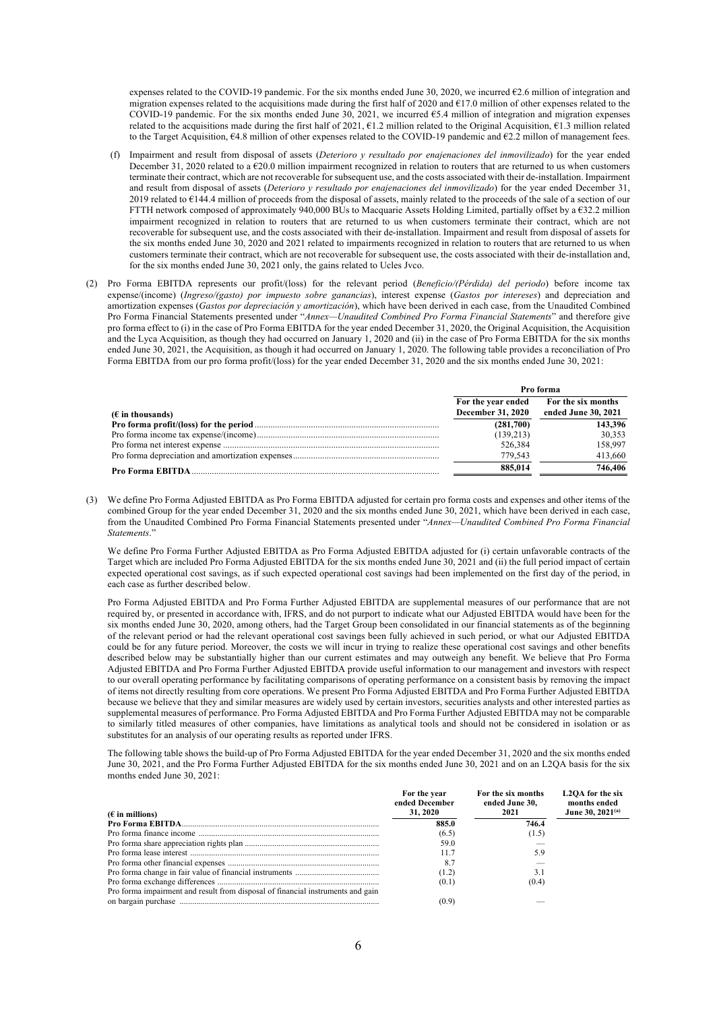expenses related to the COVID-19 pandemic. For the six months ended June 30, 2020, we incurred €2.6 million of integration and migration expenses related to the acquisitions made during the first half of 2020 and  $\epsilon$ 17.0 million of other expenses related to the COVID-19 pandemic. For the six months ended June 30, 2021, we incurred €5.4 million of integration and migration expenses related to the acquisitions made during the first half of 2021, €1.2 million related to the Original Acquisition, €1.3 million related to the Target Acquisition, €4.8 million of other expenses related to the COVID-19 pandemic and €2.2 millon of management fees.

- (f) Impairment and result from disposal of assets (*Deterioro y resultado por enajenaciones del inmovilizado*) for the year ended December 31, 2020 related to a  $\epsilon$ 20.0 million impairment recognized in relation to routers that are returned to us when customers terminate their contract, which are not recoverable for subsequent use, and the costs associated with their de-installation. Impairment and result from disposal of assets (*Deterioro y resultado por enajenaciones del inmovilizado*) for the year ended December 31, 2019 related to  $\epsilon$ 144.4 million of proceeds from the disposal of assets, mainly related to the proceeds of the sale of a section of our FTTH network composed of approximately 940,000 BUs to Macquarie Assets Holding Limited, partially offset by a €32.2 million impairment recognized in relation to routers that are returned to us when customers terminate their contract, which are not recoverable for subsequent use, and the costs associated with their de-installation. Impairment and result from disposal of assets for the six months ended June 30, 2020 and 2021 related to impairments recognized in relation to routers that are returned to us when customers terminate their contract, which are not recoverable for subsequent use, the costs associated with their de-installation and, for the six months ended June 30, 2021 only, the gains related to Ucles Jvco.
- (2) Pro Forma EBITDA represents our profit/(loss) for the relevant period (*Beneficio/(Pérdida) del periodo*) before income tax expense/(income) (*Ingreso/(gasto) por impuesto sobre ganancias*), interest expense (*Gastos por intereses*) and depreciation and amortization expenses (*Gastos por depreciación y amortización*), which have been derived in each case, from the Unaudited Combined Pro Forma Financial Statements presented under "*Annex—Unaudited Combined Pro Forma Financial Statements*" and therefore give pro forma effect to (i) in the case of Pro Forma EBITDA for the year ended December 31, 2020, the Original Acquisition, the Acquisition and the Lyca Acquisition, as though they had occurred on January 1, 2020 and (ii) in the case of Pro Forma EBITDA for the six months ended June 30, 2021, the Acquisition, as though it had occurred on January 1, 2020. The following table provides a reconciliation of Pro Forma EBITDA from our pro forma profit/(loss) for the year ended December 31, 2020 and the six months ended June 30, 2021:

|                    | Pro forma                                      |                                           |  |
|--------------------|------------------------------------------------|-------------------------------------------|--|
| $(E$ in thousands) | For the year ended<br><b>December 31, 2020</b> | For the six months<br>ended June 30, 2021 |  |
|                    | (281,700)                                      | 143.396                                   |  |
|                    | (139,213)                                      | 30,353                                    |  |
|                    | 526,384                                        | 158,997                                   |  |
|                    | 779.543                                        | 413,660                                   |  |
|                    | 885.014                                        | 746,406                                   |  |

(3) We define Pro Forma Adjusted EBITDA as Pro Forma EBITDA adjusted for certain pro forma costs and expenses and other items of the combined Group for the year ended December 31, 2020 and the six months ended June 30, 2021, which have been derived in each case, from the Unaudited Combined Pro Forma Financial Statements presented under "*Annex—Unaudited Combined Pro Forma Financial Statements*."

We define Pro Forma Further Adjusted EBITDA as Pro Forma Adjusted EBITDA adjusted for (i) certain unfavorable contracts of the Target which are included Pro Forma Adjusted EBITDA for the six months ended June 30, 2021 and (ii) the full period impact of certain expected operational cost savings, as if such expected operational cost savings had been implemented on the first day of the period, in each case as further described below.

Pro Forma Adjusted EBITDA and Pro Forma Further Adjusted EBITDA are supplemental measures of our performance that are not required by, or presented in accordance with, IFRS, and do not purport to indicate what our Adjusted EBITDA would have been for the six months ended June 30, 2020, among others, had the Target Group been consolidated in our financial statements as of the beginning of the relevant period or had the relevant operational cost savings been fully achieved in such period, or what our Adjusted EBITDA could be for any future period. Moreover, the costs we will incur in trying to realize these operational cost savings and other benefits described below may be substantially higher than our current estimates and may outweigh any benefit. We believe that Pro Forma Adjusted EBITDA and Pro Forma Further Adjusted EBITDA provide useful information to our management and investors with respect to our overall operating performance by facilitating comparisons of operating performance on a consistent basis by removing the impact of items not directly resulting from core operations. We present Pro Forma Adjusted EBITDA and Pro Forma Further Adjusted EBITDA because we believe that they and similar measures are widely used by certain investors, securities analysts and other interested parties as supplemental measures of performance. Pro Forma Adjusted EBITDA and Pro Forma Further Adjusted EBITDA may not be comparable to similarly titled measures of other companies, have limitations as analytical tools and should not be considered in isolation or as substitutes for an analysis of our operating results as reported under IFRS.

The following table shows the build-up of Pro Forma Adjusted EBITDA for the year ended December 31, 2020 and the six months ended June 30, 2021, and the Pro Forma Further Adjusted EBITDA for the six months ended June 30, 2021 and on an L2QA basis for the six months ended June 30, 2021:

|                                                                                 | For the year<br>ended December | For the six months<br>ended June 30. | L2OA for the six<br>months ended |
|---------------------------------------------------------------------------------|--------------------------------|--------------------------------------|----------------------------------|
| $(\epsilon$ in millions)                                                        | 31, 2020                       | 2021                                 | June 30, 2021 <sup>(a)</sup>     |
|                                                                                 | 885.0                          | 746.4                                |                                  |
|                                                                                 | (6.5)                          | (1.5)                                |                                  |
|                                                                                 | 59.0                           |                                      |                                  |
|                                                                                 | 11.7                           | 5.9                                  |                                  |
|                                                                                 |                                |                                      |                                  |
|                                                                                 | (1.2)                          | 3.1                                  |                                  |
|                                                                                 | (0.1)                          | (0.4)                                |                                  |
| Pro forma impairment and result from disposal of financial instruments and gain |                                |                                      |                                  |
|                                                                                 | (0.9)                          |                                      |                                  |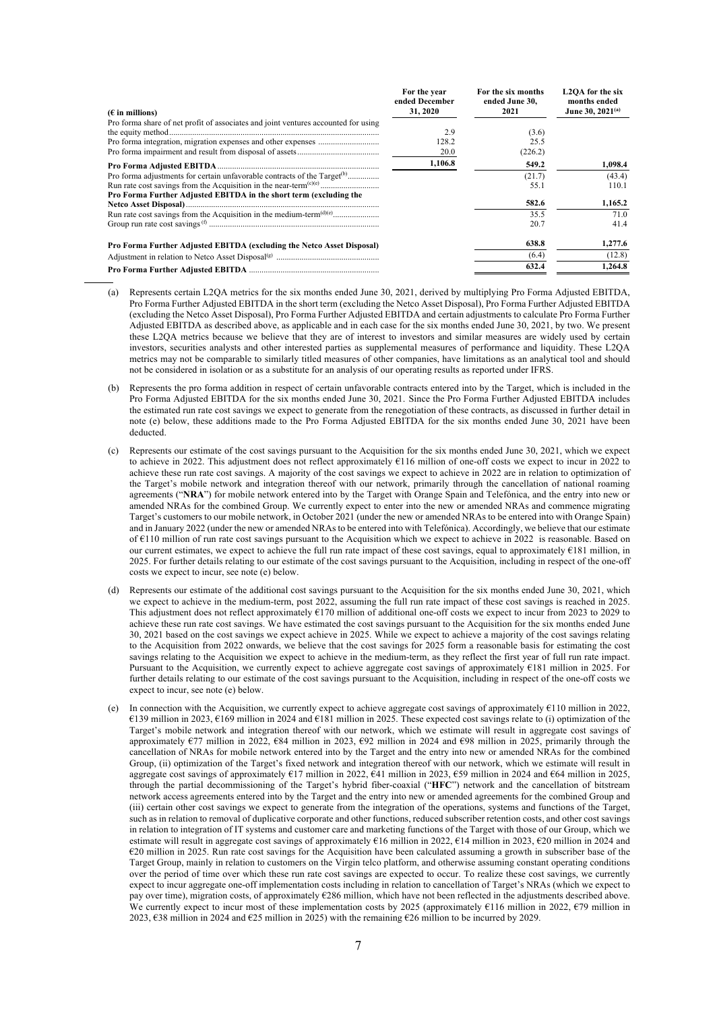| $(E$ in millions)                                                                    | For the year<br>ended December<br>31, 2020 | For the six months<br>ended June 30,<br>2021 | L2OA for the six<br>months ended<br>June 30, 2021 <sup>(a)</sup> |
|--------------------------------------------------------------------------------------|--------------------------------------------|----------------------------------------------|------------------------------------------------------------------|
| Pro forma share of net profit of associates and joint ventures accounted for using   |                                            |                                              |                                                                  |
|                                                                                      | 2.9                                        | (3.6)                                        |                                                                  |
|                                                                                      | 128.2                                      | 25.5                                         |                                                                  |
|                                                                                      | 20.0                                       | (226.2)                                      |                                                                  |
|                                                                                      | 1,106.8                                    | 549.2                                        | 1,098.4                                                          |
| Pro forma adjustments for certain unfavorable contracts of the Target <sup>(b)</sup> |                                            | (21.7)                                       | (43.4)                                                           |
|                                                                                      |                                            | 55.1                                         | 110.1                                                            |
| Pro Forma Further Adjusted EBITDA in the short term (excluding the                   |                                            |                                              |                                                                  |
|                                                                                      |                                            | 582.6                                        | 1,165.2                                                          |
|                                                                                      |                                            | 35.5                                         | 71.0                                                             |
|                                                                                      |                                            | 20.7                                         | 41.4                                                             |
| Pro Forma Further Adjusted EBITDA (excluding the Netco Asset Disposal)               |                                            | 638.8                                        | 1,277.6                                                          |
|                                                                                      |                                            | (6.4)                                        | (12.8)                                                           |
|                                                                                      |                                            | 632.4                                        | 1.264.8                                                          |

- (a) Represents certain L2QA metrics for the six months ended June 30, 2021, derived by multiplying Pro Forma Adjusted EBITDA, Pro Forma Further Adjusted EBITDA in the short term (excluding the Netco Asset Disposal), Pro Forma Further Adjusted EBITDA (excluding the Netco Asset Disposal), Pro Forma Further Adjusted EBITDA and certain adjustments to calculate Pro Forma Further Adjusted EBITDA as described above, as applicable and in each case for the six months ended June 30, 2021, by two. We present these L2QA metrics because we believe that they are of interest to investors and similar measures are widely used by certain investors, securities analysts and other interested parties as supplemental measures of performance and liquidity. These L2QA metrics may not be comparable to similarly titled measures of other companies, have limitations as an analytical tool and should not be considered in isolation or as a substitute for an analysis of our operating results as reported under IFRS.
- (b) Represents the pro forma addition in respect of certain unfavorable contracts entered into by the Target, which is included in the Pro Forma Adjusted EBITDA for the six months ended June 30, 2021. Since the Pro Forma Further Adjusted EBITDA includes the estimated run rate cost savings we expect to generate from the renegotiation of these contracts, as discussed in further detail in note (e) below, these additions made to the Pro Forma Adjusted EBITDA for the six months ended June 30, 2021 have been deducted.
- (c) Represents our estimate of the cost savings pursuant to the Acquisition for the six months ended June 30, 2021, which we expect to achieve in 2022. This adjustment does not reflect approximately €116 million of one-off costs we expect to incur in 2022 to achieve these run rate cost savings. A majority of the cost savings we expect to achieve in 2022 are in relation to optimization of the Target's mobile network and integration thereof with our network, primarily through the cancellation of national roaming agreements ("**NRA**") for mobile network entered into by the Target with Orange Spain and Telefónica, and the entry into new or amended NRAs for the combined Group. We currently expect to enter into the new or amended NRAs and commence migrating Target's customers to our mobile network, in October 2021 (under the new or amended NRAs to be entered into with Orange Spain) and in January 2022 (under the new or amended NRAs to be entered into with Telefónica). Accordingly, we believe that our estimate of €110 million of run rate cost savings pursuant to the Acquisition which we expect to achieve in 2022 is reasonable. Based on our current estimates, we expect to achieve the full run rate impact of these cost savings, equal to approximately €181 million, in 2025. For further details relating to our estimate of the cost savings pursuant to the Acquisition, including in respect of the one-off costs we expect to incur, see note (e) below.
- (d) Represents our estimate of the additional cost savings pursuant to the Acquisition for the six months ended June 30, 2021, which we expect to achieve in the medium-term, post 2022, assuming the full run rate impact of these cost savings is reached in 2025. This adjustment does not reflect approximately €170 million of additional one-off costs we expect to incur from 2023 to 2029 to achieve these run rate cost savings. We have estimated the cost savings pursuant to the Acquisition for the six months ended June 30, 2021 based on the cost savings we expect achieve in 2025. While we expect to achieve a majority of the cost savings relating to the Acquisition from 2022 onwards, we believe that the cost savings for 2025 form a reasonable basis for estimating the cost savings relating to the Acquisition we expect to achieve in the medium-term, as they reflect the first year of full run rate impact. Pursuant to the Acquisition, we currently expect to achieve aggregate cost savings of approximately €181 million in 2025. For further details relating to our estimate of the cost savings pursuant to the Acquisition, including in respect of the one-off costs we expect to incur, see note (e) below.
- (e) In connection with the Acquisition, we currently expect to achieve aggregate cost savings of approximately €110 million in 2022, €139 million in 2023, €169 million in 2024 and €181 million in 2025. These expected cost savings relate to (i) optimization of the Target's mobile network and integration thereof with our network, which we estimate will result in aggregate cost savings of approximately €77 million in 2022, €84 million in 2023, €92 million in 2024 and €98 million in 2025, primarily through the cancellation of NRAs for mobile network entered into by the Target and the entry into new or amended NRAs for the combined Group, (ii) optimization of the Target's fixed network and integration thereof with our network, which we estimate will result in aggregate cost savings of approximately  $\epsilon$ 17 million in 2022,  $\epsilon$ 41 million in 2023,  $\epsilon$ 59 million in 2024 and  $\epsilon$ 64 million in 2025, through the partial decommissioning of the Target's hybrid fiber-coaxial ("**HFC**") network and the cancellation of bitstream network access agreements entered into by the Target and the entry into new or amended agreements for the combined Group and (iii) certain other cost savings we expect to generate from the integration of the operations, systems and functions of the Target, such as in relation to removal of duplicative corporate and other functions, reduced subscriber retention costs, and other cost savings in relation to integration of IT systems and customer care and marketing functions of the Target with those of our Group, which we estimate will result in aggregate cost savings of approximately €16 million in 2022, €14 million in 2023, €20 million in 2024 and €20 million in 2025. Run rate cost savings for the Acquisition have been calculated assuming a growth in subscriber base of the Target Group, mainly in relation to customers on the Virgin telco platform, and otherwise assuming constant operating conditions over the period of time over which these run rate cost savings are expected to occur. To realize these cost savings, we currently expect to incur aggregate one-off implementation costs including in relation to cancellation of Target's NRAs (which we expect to pay over time), migration costs, of approximately €286 million, which have not been reflected in the adjustments described above. We currently expect to incur most of these implementation costs by 2025 (approximately  $\epsilon$ 116 million in 2022,  $\epsilon$ 79 million in 2023, €38 million in 2024 and €25 million in 2025) with the remaining €26 million to be incurred by 2029.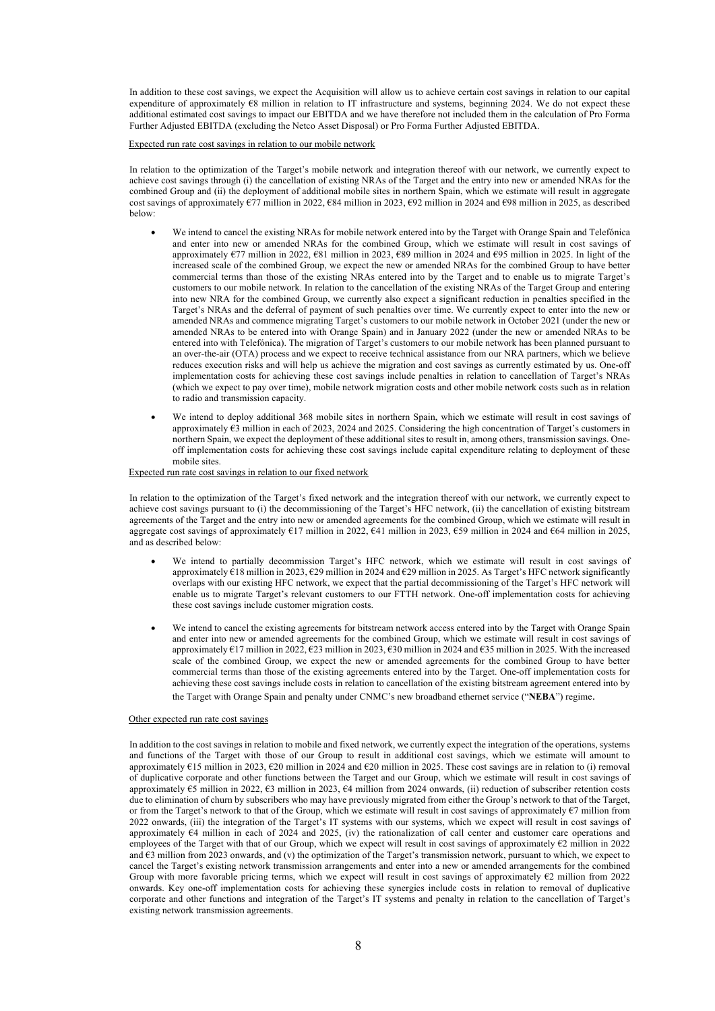In addition to these cost savings, we expect the Acquisition will allow us to achieve certain cost savings in relation to our capital expenditure of approximately  $\varepsilon$ 8 million in relation to IT infrastructure and systems, beginning 2024. We do not expect these additional estimated cost savings to impact our EBITDA and we have therefore not included them in the calculation of Pro Forma Further Adjusted EBITDA (excluding the Netco Asset Disposal) or Pro Forma Further Adjusted EBITDA.

Expected run rate cost savings in relation to our mobile network

In relation to the optimization of the Target's mobile network and integration thereof with our network, we currently expect to achieve cost savings through (i) the cancellation of existing NRAs of the Target and the entry into new or amended NRAs for the combined Group and (ii) the deployment of additional mobile sites in northern Spain, which we estimate will result in aggregate cost savings of approximately €77 million in 2022, €84 million in 2023, €92 million in 2024 and €98 million in 2025, as described below:

- We intend to cancel the existing NRAs for mobile network entered into by the Target with Orange Spain and Telefónica and enter into new or amended NRAs for the combined Group, which we estimate will result in cost savings of approximately €77 million in 2022, €81 million in 2023, €89 million in 2024 and €95 million in 2025. In light of the increased scale of the combined Group, we expect the new or amended NRAs for the combined Group to have better commercial terms than those of the existing NRAs entered into by the Target and to enable us to migrate Target's customers to our mobile network. In relation to the cancellation of the existing NRAs of the Target Group and entering into new NRA for the combined Group, we currently also expect a significant reduction in penalties specified in the Target's NRAs and the deferral of payment of such penalties over time. We currently expect to enter into the new or amended NRAs and commence migrating Target's customers to our mobile network in October 2021 (under the new or amended NRAs to be entered into with Orange Spain) and in January 2022 (under the new or amended NRAs to be entered into with Telefónica). The migration of Target's customers to our mobile network has been planned pursuant to an over-the-air (OTA) process and we expect to receive technical assistance from our NRA partners, which we believe reduces execution risks and will help us achieve the migration and cost savings as currently estimated by us. One-off implementation costs for achieving these cost savings include penalties in relation to cancellation of Target's NRAs (which we expect to pay over time), mobile network migration costs and other mobile network costs such as in relation to radio and transmission capacity.
- We intend to deploy additional 368 mobile sites in northern Spain, which we estimate will result in cost savings of approximately  $\epsilon_3$  million in each of 2023, 2024 and 2025. Considering the high concentration of Target's customers in northern Spain, we expect the deployment of these additional sites to result in, among others, transmission savings. Oneoff implementation costs for achieving these cost savings include capital expenditure relating to deployment of these mobile sites.

Expected run rate cost savings in relation to our fixed network

In relation to the optimization of the Target's fixed network and the integration thereof with our network, we currently expect to achieve cost savings pursuant to (i) the decommissioning of the Target's HFC network, (ii) the cancellation of existing bitstream agreements of the Target and the entry into new or amended agreements for the combined Group, which we estimate will result in aggregate cost savings of approximately €17 million in 2022, €41 million in 2023, €59 million in 2024 and €64 million in 2025, and as described below:

- We intend to partially decommission Target's HFC network, which we estimate will result in cost savings of approximately €18 million in 2023, €29 million in 2024 and €29 million in 2025. As Target's HFC network significantly overlaps with our existing HFC network, we expect that the partial decommissioning of the Target's HFC network will enable us to migrate Target's relevant customers to our FTTH network. One-off implementation costs for achieving these cost savings include customer migration costs.
- We intend to cancel the existing agreements for bitstream network access entered into by the Target with Orange Spain and enter into new or amended agreements for the combined Group, which we estimate will result in cost savings of approximately €17 million in 2022, €23 million in 2023, €30 million in 2024 and €35 million in 2025. With the increased scale of the combined Group, we expect the new or amended agreements for the combined Group to have better commercial terms than those of the existing agreements entered into by the Target. One-off implementation costs for achieving these cost savings include costs in relation to cancellation of the existing bitstream agreement entered into by the Target with Orange Spain and penalty under CNMC's new broadband ethernet service ("**NEBA**") regime.

#### Other expected run rate cost savings

In addition to the cost savings in relation to mobile and fixed network, we currently expect the integration of the operations, systems and functions of the Target with those of our Group to result in additional cost savings, which we estimate will amount to approximately €15 million in 2023, €20 million in 2024 and €20 million in 2025. These cost savings are in relation to (i) removal of duplicative corporate and other functions between the Target and our Group, which we estimate will result in cost savings of approximately €5 million in 2022, €3 million in 2023, €4 million from 2024 onwards, (ii) reduction of subscriber retention costs due to elimination of churn by subscribers who may have previously migrated from either the Group's network to that of the Target, or from the Target's network to that of the Group, which we estimate will result in cost savings of approximately  $\epsilon$ 7 million from 2022 onwards, (iii) the integration of the Target's IT systems with our systems, which we expect will result in cost savings of approximately €4 million in each of 2024 and 2025, (iv) the rationalization of call center and customer care operations and employees of the Target with that of our Group, which we expect will result in cost savings of approximately €2 million in 2022 and  $63$  million from 2023 onwards, and (v) the optimization of the Target's transmission network, pursuant to which, we expect to cancel the Target's existing network transmission arrangements and enter into a new or amended arrangements for the combined Group with more favorable pricing terms, which we expect will result in cost savings of approximately  $\epsilon$ 2 million from 2022 onwards. Key one-off implementation costs for achieving these synergies include costs in relation to removal of duplicative corporate and other functions and integration of the Target's IT systems and penalty in relation to the cancellation of Target's existing network transmission agreements.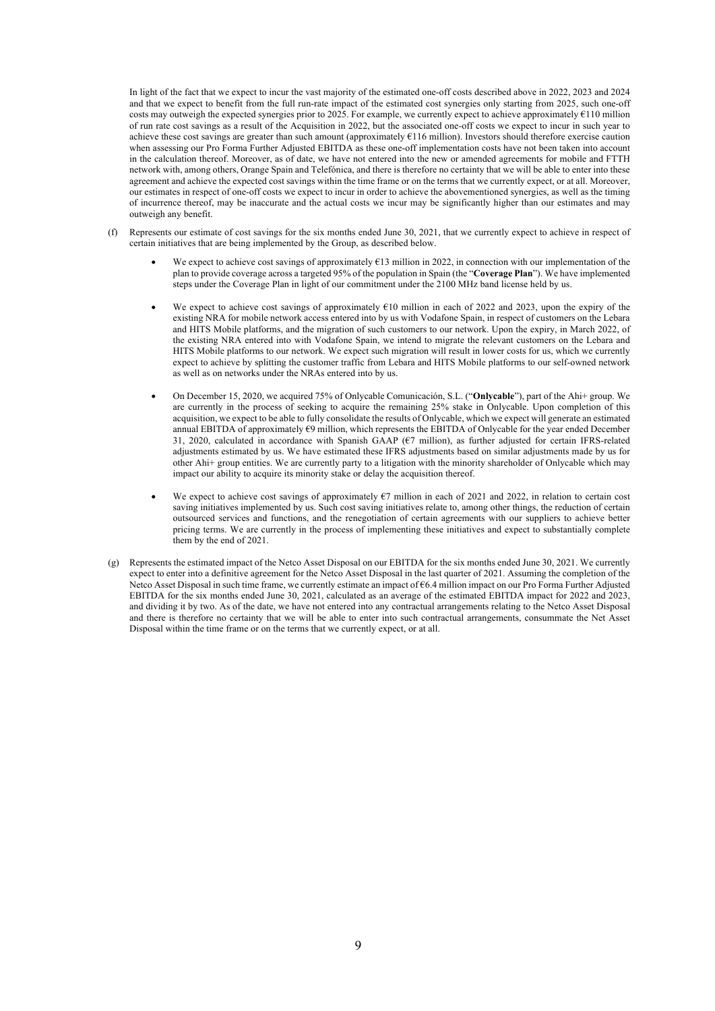In light of the fact that we expect to incur the vast majority of the estimated one-off costs described above in 2022, 2023 and 2024 and that we expect to benefit from the full run-rate impact of the estimated cost synergies only starting from 2025, such one-off costs may outweigh the expected synergies prior to 2025. For example, we currently expect to achieve approximately €110 million of run rate cost savings as a result of the Acquisition in 2022, but the associated one-off costs we expect to incur in such year to achieve these cost savings are greater than such amount (approximately €116 million). Investors should therefore exercise caution when assessing our Pro Forma Further Adjusted EBITDA as these one-off implementation costs have not been taken into account in the calculation thereof. Moreover, as of date, we have not entered into the new or amended agreements for mobile and FTTH network with, among others, Orange Spain and Telefónica, and there is therefore no certainty that we will be able to enter into these agreement and achieve the expected cost savings within the time frame or on the terms that we currently expect, or at all. Moreover, our estimates in respect of one-off costs we expect to incur in order to achieve the abovementioned synergies, as well as the timing of incurrence thereof, may be inaccurate and the actual costs we incur may be significantly higher than our estimates and may outweigh any benefit.

- (f) Represents our estimate of cost savings for the six months ended June 30, 2021, that we currently expect to achieve in respect of certain initiatives that are being implemented by the Group, as described below.
	- We expect to achieve cost savings of approximately  $E13$  million in 2022, in connection with our implementation of the plan to provide coverage across a targeted 95% of the population in Spain (the "**Coverage Plan**"). We have implemented steps under the Coverage Plan in light of our commitment under the 2100 MHz band license held by us.
	- We expect to achieve cost savings of approximately €10 million in each of 2022 and 2023, upon the expiry of the existing NRA for mobile network access entered into by us with Vodafone Spain, in respect of customers on the Lebara and HITS Mobile platforms, and the migration of such customers to our network. Upon the expiry, in March 2022, of the existing NRA entered into with Vodafone Spain, we intend to migrate the relevant customers on the Lebara and HITS Mobile platforms to our network. We expect such migration will result in lower costs for us, which we currently expect to achieve by splitting the customer traffic from Lebara and HITS Mobile platforms to our self-owned network as well as on networks under the NRAs entered into by us.
	- On December 15, 2020, we acquired 75% of Onlycable Comunicación, S.L. ("**Onlycable**"), part of the Ahi+ group. We are currently in the process of seeking to acquire the remaining 25% stake in Onlycable. Upon completion of this acquisition, we expect to be able to fully consolidate the results of Onlycable, which we expect will generate an estimated annual EBITDA of approximately €9 million, which represents the EBITDA of Onlycable for the year ended December 31, 2020, calculated in accordance with Spanish GAAP (€7 million), as further adjusted for certain IFRS-related adjustments estimated by us. We have estimated these IFRS adjustments based on similar adjustments made by us for other Ahi+ group entities. We are currently party to a litigation with the minority shareholder of Onlycable which may impact our ability to acquire its minority stake or delay the acquisition thereof.
	- We expect to achieve cost savings of approximately  $67$  million in each of 2021 and 2022, in relation to certain cost saving initiatives implemented by us. Such cost saving initiatives relate to, among other things, the reduction of certain outsourced services and functions, and the renegotiation of certain agreements with our suppliers to achieve better pricing terms. We are currently in the process of implementing these initiatives and expect to substantially complete them by the end of 2021.
- (g) Represents the estimated impact of the Netco Asset Disposal on our EBITDA for the six months ended June 30, 2021. We currently expect to enter into a definitive agreement for the Netco Asset Disposal in the last quarter of 2021. Assuming the completion of the Netco Asset Disposal in such time frame, we currently estimate an impact of €6.4 million impact on our Pro Forma Further Adjusted EBITDA for the six months ended June 30, 2021, calculated as an average of the estimated EBITDA impact for 2022 and 2023, and dividing it by two. As of the date, we have not entered into any contractual arrangements relating to the Netco Asset Disposal and there is therefore no certainty that we will be able to enter into such contractual arrangements, consummate the Net Asset Disposal within the time frame or on the terms that we currently expect, or at all.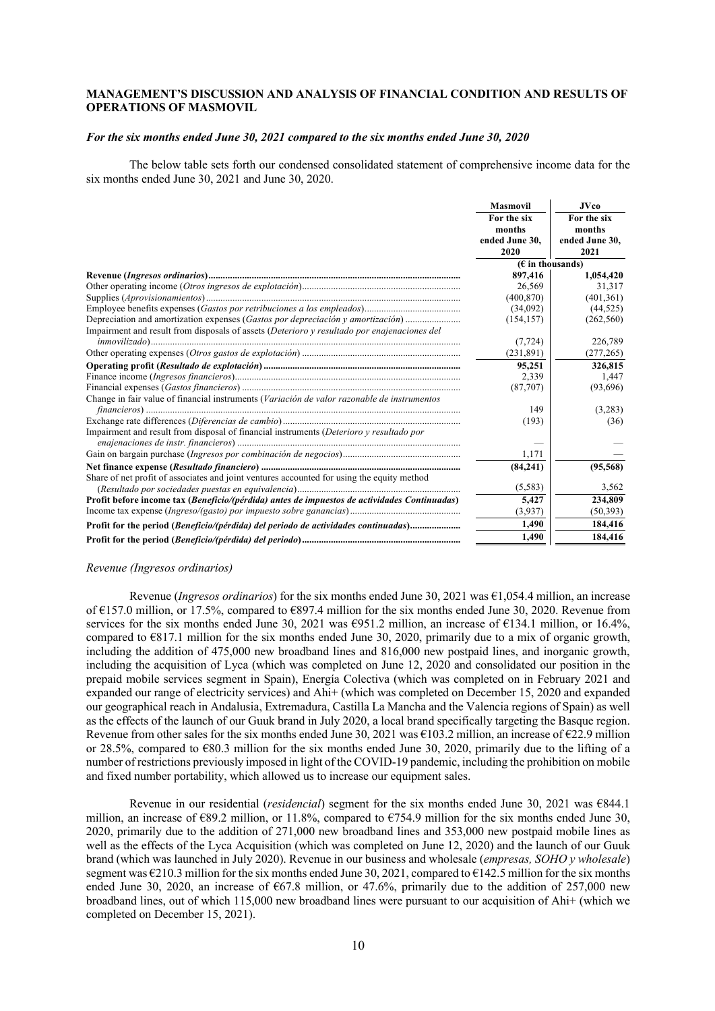# **MANAGEMENT'S DISCUSSION AND ANALYSIS OF FINANCIAL CONDITION AND RESULTS OF OPERATIONS OF MASMOVIL**

# *For the six months ended June 30, 2021 compared to the six months ended June 30, 2020*

The below table sets forth our condensed consolidated statement of comprehensive income data for the six months ended June 30, 2021 and June 30, 2020.

|                                                                                              | <b>Masmovil</b>        | <b>JVco</b>            |
|----------------------------------------------------------------------------------------------|------------------------|------------------------|
|                                                                                              | For the six<br>months  | For the six<br>months  |
|                                                                                              | ended June 30,<br>2020 | ended June 30,<br>2021 |
|                                                                                              | $(E$ in thousands)     |                        |
|                                                                                              | 897,416                | 1,054,420              |
|                                                                                              | 26,569                 | 31,317                 |
|                                                                                              | (400, 870)             | (401, 361)             |
|                                                                                              | (34,092)               | (44, 525)              |
| Depreciation and amortization expenses (Gastos por depreciación y amortización)              | (154, 157)             | (262, 560)             |
| Impairment and result from disposals of assets (Deterioro y resultado por enajenaciones del  |                        |                        |
|                                                                                              | (7, 724)               | 226,789                |
|                                                                                              | (231,891)              | (277, 265)             |
|                                                                                              | 95,251                 | 326,815                |
|                                                                                              | 2.339                  | 1.447                  |
|                                                                                              | (87,707)               | (93,696)               |
| Change in fair value of financial instruments (Variación de valor razonable de instrumentos  |                        |                        |
|                                                                                              | 149                    | (3,283)                |
|                                                                                              | (193)                  | (36)                   |
| Impairment and result from disposal of financial instruments (Deterioro y resultado por      |                        |                        |
|                                                                                              | 1.171                  |                        |
|                                                                                              | (84, 241)              | (95, 568)              |
| Share of net profit of associates and joint ventures accounted for using the equity method   |                        |                        |
|                                                                                              | (5,583)                | 3,562                  |
| Profit before income tax (Beneficio/(pérdida) antes de impuestos de actividades Continuadas) | 5,427                  | 234,809                |
|                                                                                              | (3,937)                | (50, 393)              |
| Profit for the period (Beneficio/(pérdida) del periodo de actividades continuadas)           | 1,490                  | 184,416                |
|                                                                                              | 1.490                  | 184,416                |

#### *Revenue (Ingresos ordinarios)*

Revenue (*Ingresos ordinarios*) for the six months ended June 30, 2021 was €1,054.4 million, an increase of €157.0 million, or 17.5%, compared to €897.4 million for the six months ended June 30, 2020. Revenue from services for the six months ended June 30, 2021 was  $\epsilon$ 951.2 million, an increase of  $\epsilon$ 134.1 million, or 16.4%, compared to  $\epsilon$ 817.1 million for the six months ended June 30, 2020, primarily due to a mix of organic growth, including the addition of 475,000 new broadband lines and 816,000 new postpaid lines, and inorganic growth, including the acquisition of Lyca (which was completed on June 12, 2020 and consolidated our position in the prepaid mobile services segment in Spain), Energía Colectiva (which was completed on in February 2021 and expanded our range of electricity services) and Ahi+ (which was completed on December 15, 2020 and expanded our geographical reach in Andalusia, Extremadura, Castilla La Mancha and the Valencia regions of Spain) as well as the effects of the launch of our Guuk brand in July 2020, a local brand specifically targeting the Basque region. Revenue from other sales for the six months ended June 30, 2021 was  $\epsilon$ 103.2 million, an increase of  $\epsilon$ 22.9 million or 28.5%, compared to €80.3 million for the six months ended June 30, 2020, primarily due to the lifting of a number of restrictions previously imposed in light of the COVID-19 pandemic, including the prohibition on mobile and fixed number portability, which allowed us to increase our equipment sales.

Revenue in our residential (*residencial*) segment for the six months ended June 30, 2021 was €844.1 million, an increase of €89.2 million, or 11.8%, compared to €754.9 million for the six months ended June 30, 2020, primarily due to the addition of 271,000 new broadband lines and 353,000 new postpaid mobile lines as well as the effects of the Lyca Acquisition (which was completed on June 12, 2020) and the launch of our Guuk brand (which was launched in July 2020). Revenue in our business and wholesale (*empresas, SOHO y wholesale*) segment was €210.3 million for the six months ended June 30, 2021, compared to €142.5 million for the six months ended June 30, 2020, an increase of  $667.8$  million, or 47.6%, primarily due to the addition of 257,000 new broadband lines, out of which 115,000 new broadband lines were pursuant to our acquisition of Ahi+ (which we completed on December 15, 2021).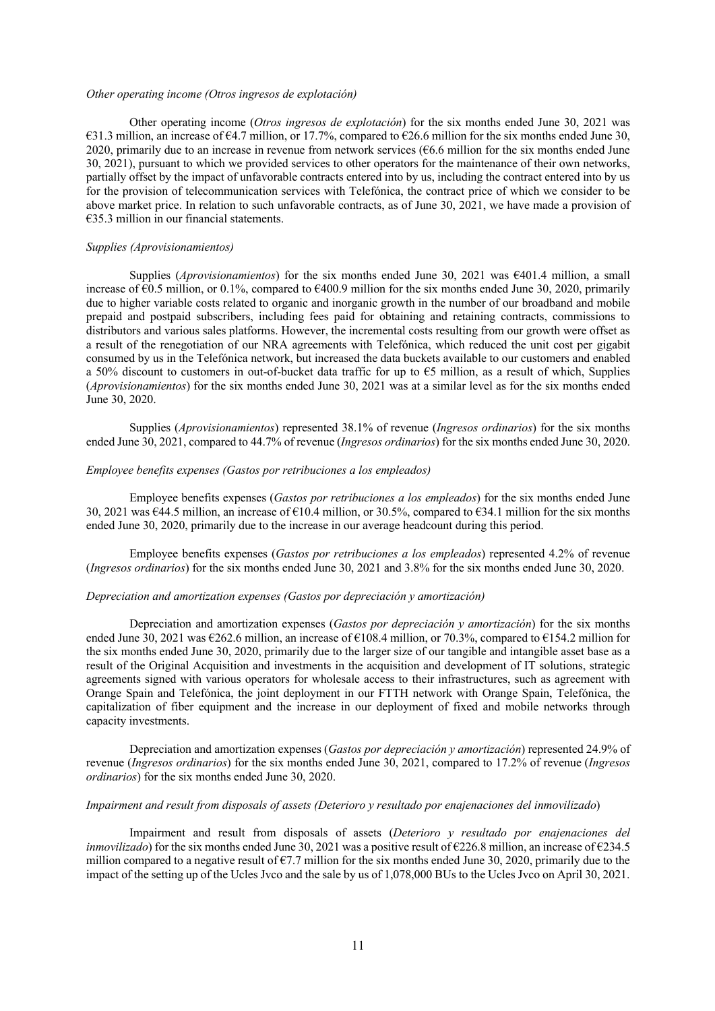#### *Other operating income (Otros ingresos de explotación)*

Other operating income (*Otros ingresos de explotación*) for the six months ended June 30, 2021 was €31.3 million, an increase of €4.7 million, or 17.7%, compared to €26.6 million for the six months ended June 30, 2020, primarily due to an increase in revenue from network services ( $66.6$  million for the six months ended June 30, 2021), pursuant to which we provided services to other operators for the maintenance of their own networks, partially offset by the impact of unfavorable contracts entered into by us, including the contract entered into by us for the provision of telecommunication services with Telefónica, the contract price of which we consider to be above market price. In relation to such unfavorable contracts, as of June 30, 2021, we have made a provision of €35.3 million in our financial statements.

#### *Supplies (Aprovisionamientos)*

Supplies (*Aprovisionamientos*) for the six months ended June 30, 2021 was €401.4 million, a small increase of  $\epsilon$ 0.5 million, or 0.1%, compared to  $\epsilon$ 400.9 million for the six months ended June 30, 2020, primarily due to higher variable costs related to organic and inorganic growth in the number of our broadband and mobile prepaid and postpaid subscribers, including fees paid for obtaining and retaining contracts, commissions to distributors and various sales platforms. However, the incremental costs resulting from our growth were offset as a result of the renegotiation of our NRA agreements with Telefónica, which reduced the unit cost per gigabit consumed by us in the Telefónica network, but increased the data buckets available to our customers and enabled a 50% discount to customers in out-of-bucket data traffic for up to  $\epsilon$ 5 million, as a result of which, Supplies (*Aprovisionamientos*) for the six months ended June 30, 2021 was at a similar level as for the six months ended June 30, 2020.

Supplies (*Aprovisionamientos*) represented 38.1% of revenue (*Ingresos ordinarios*) for the six months ended June 30, 2021, compared to 44.7% of revenue (*Ingresos ordinarios*) for the six months ended June 30, 2020.

# *Employee benefits expenses (Gastos por retribuciones a los empleados)*

Employee benefits expenses (*Gastos por retribuciones a los empleados*) for the six months ended June 30, 2021 was €44.5 million, an increase of €10.4 million, or 30.5%, compared to €34.1 million for the six months ended June 30, 2020, primarily due to the increase in our average headcount during this period.

Employee benefits expenses (*Gastos por retribuciones a los empleados*) represented 4.2% of revenue (*Ingresos ordinarios*) for the six months ended June 30, 2021 and 3.8% for the six months ended June 30, 2020.

# *Depreciation and amortization expenses (Gastos por depreciación y amortización)*

Depreciation and amortization expenses (*Gastos por depreciación y amortización*) for the six months ended June 30, 2021 was €262.6 million, an increase of  $€108.4$  million, or 70.3%, compared to  $€154.2$  million for the six months ended June 30, 2020, primarily due to the larger size of our tangible and intangible asset base as a result of the Original Acquisition and investments in the acquisition and development of IT solutions, strategic agreements signed with various operators for wholesale access to their infrastructures, such as agreement with Orange Spain and Telefónica, the joint deployment in our FTTH network with Orange Spain, Telefónica, the capitalization of fiber equipment and the increase in our deployment of fixed and mobile networks through capacity investments.

Depreciation and amortization expenses (*Gastos por depreciación y amortización*) represented 24.9% of revenue (*Ingresos ordinarios*) for the six months ended June 30, 2021, compared to 17.2% of revenue (*Ingresos ordinarios*) for the six months ended June 30, 2020.

# *Impairment and result from disposals of assets (Deterioro y resultado por enajenaciones del inmovilizado*)

Impairment and result from disposals of assets (*Deterioro y resultado por enajenaciones del inmovilizado*) for the six months ended June 30, 2021 was a positive result of €226.8 million, an increase of €234.5 million compared to a negative result of  $\epsilon$ 7.7 million for the six months ended June 30, 2020, primarily due to the impact of the setting up of the Ucles Jvco and the sale by us of 1,078,000 BUs to the Ucles Jvco on April 30, 2021.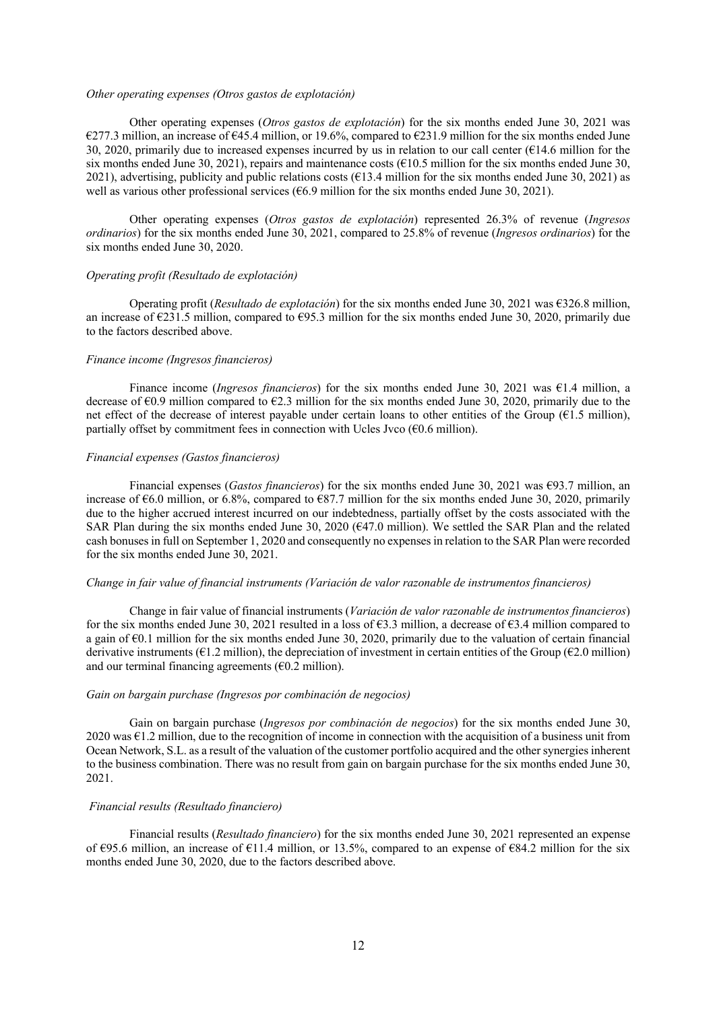#### *Other operating expenses (Otros gastos de explotación)*

Other operating expenses (*Otros gastos de explotación*) for the six months ended June 30, 2021 was €277.3 million, an increase of €45.4 million, or 19.6%, compared to €231.9 million for the six months ended June 30, 2020, primarily due to increased expenses incurred by us in relation to our call center ( $€14.6$  million for the six months ended June 30, 2021), repairs and maintenance costs ( $\epsilon$ 10.5 million for the six months ended June 30, 2021), advertising, publicity and public relations costs ( $€13.4$  million for the six months ended June 30, 2021) as well as various other professional services ( $66.9$  million for the six months ended June 30, 2021).

Other operating expenses (*Otros gastos de explotación*) represented 26.3% of revenue (*Ingresos ordinarios*) for the six months ended June 30, 2021, compared to 25.8% of revenue (*Ingresos ordinarios*) for the six months ended June 30, 2020.

#### *Operating profit (Resultado de explotación)*

Operating profit (*Resultado de explotación*) for the six months ended June 30, 2021 was €326.8 million, an increase of €231.5 million, compared to €95.3 million for the six months ended June 30, 2020, primarily due to the factors described above.

#### *Finance income (Ingresos financieros)*

Finance income (*Ingresos financieros*) for the six months ended June 30, 2021 was €1.4 million, a decrease of  $\epsilon$ 0.9 million compared to  $\epsilon$ 2.3 million for the six months ended June 30, 2020, primarily due to the net effect of the decrease of interest payable under certain loans to other entities of the Group ( $E1.5$  million), partially offset by commitment fees in connection with Ucles Jvco  $(60.6 \text{ million})$ .

#### *Financial expenses (Gastos financieros)*

Financial expenses (*Gastos financieros*) for the six months ended June 30, 2021 was €93.7 million, an increase of €6.0 million, or 6.8%, compared to €87.7 million for the six months ended June 30, 2020, primarily due to the higher accrued interest incurred on our indebtedness, partially offset by the costs associated with the SAR Plan during the six months ended June 30, 2020 (€47.0 million). We settled the SAR Plan and the related cash bonuses in full on September 1, 2020 and consequently no expenses in relation to the SAR Plan were recorded for the six months ended June 30, 2021.

# *Change in fair value of financial instruments (Variación de valor razonable de instrumentos financieros)*

Change in fair value of financial instruments (*Variación de valor razonable de instrumentos financieros*) for the six months ended June 30, 2021 resulted in a loss of €3.3 million, a decrease of €3.4 million compared to a gain of €0.1 million for the six months ended June 30, 2020, primarily due to the valuation of certain financial derivative instruments ( $\epsilon$ 1.2 million), the depreciation of investment in certain entities of the Group ( $\epsilon$ 2.0 million) and our terminal financing agreements  $(60.2 \text{ million})$ .

# *Gain on bargain purchase (Ingresos por combinación de negocios)*

Gain on bargain purchase (*Ingresos por combinación de negocios*) for the six months ended June 30,  $2020$  was  $\epsilon$ 1.2 million, due to the recognition of income in connection with the acquisition of a business unit from Ocean Network, S.L. as a result of the valuation of the customer portfolio acquired and the other synergies inherent to the business combination. There was no result from gain on bargain purchase for the six months ended June 30, 2021.

# *Financial results (Resultado financiero)*

Financial results (*Resultado financiero*) for the six months ended June 30, 2021 represented an expense of €95.6 million, an increase of €11.4 million, or 13.5%, compared to an expense of €84.2 million for the six months ended June 30, 2020, due to the factors described above.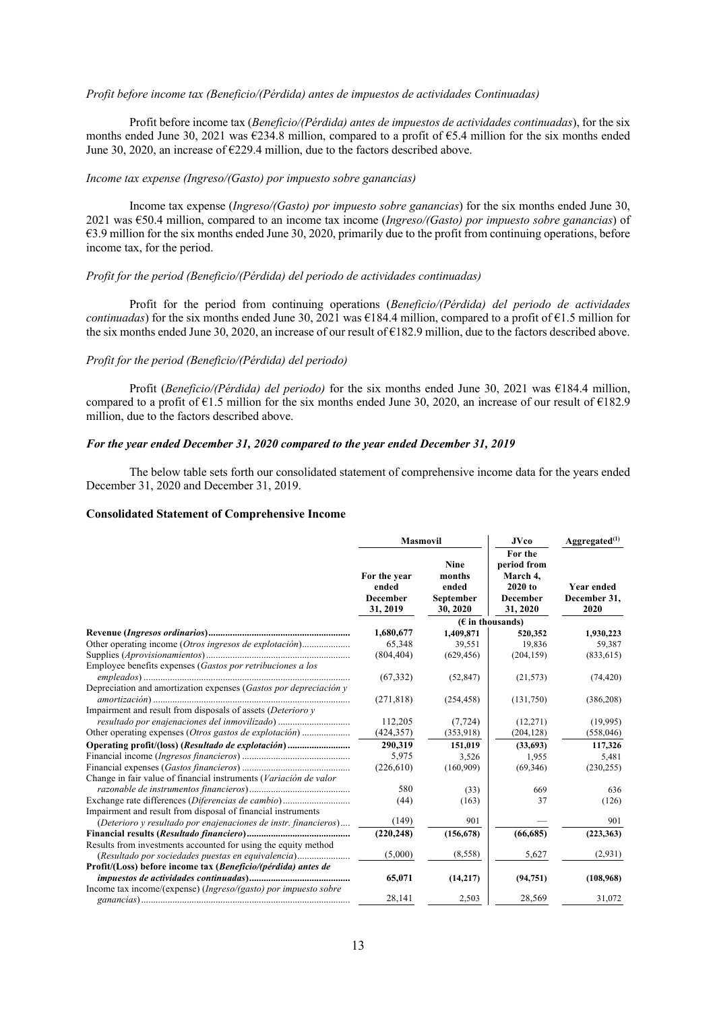#### *Profit before income tax (Beneficio/(Pérdida) antes de impuestos de actividades Continuadas)*

Profit before income tax (*Beneficio/(Pérdida) antes de impuestos de actividades continuadas*), for the six months ended June 30, 2021 was €234.8 million, compared to a profit of €5.4 million for the six months ended June 30, 2020, an increase of €229.4 million, due to the factors described above.

# *Income tax expense (Ingreso/(Gasto) por impuesto sobre ganancias)*

Income tax expense (*Ingreso/(Gasto) por impuesto sobre ganancias*) for the six months ended June 30, 2021 was €50.4 million, compared to an income tax income (*Ingreso/(Gasto) por impuesto sobre ganancias*) of €3.9 million for the six months ended June 30, 2020, primarily due to the profit from continuing operations, before income tax, for the period.

# *Profit for the period (Beneficio/(Pérdida) del periodo de actividades continuadas)*

Profit for the period from continuing operations (*Beneficio/(Pérdida) del periodo de actividades continuadas*) for the six months ended June 30, 2021 was  $\epsilon$ 184.4 million, compared to a profit of  $\epsilon$ 1.5 million for the six months ended June 30, 2020, an increase of our result of  $\epsilon$ 182.9 million, due to the factors described above.

# *Profit for the period (Beneficio/(Pérdida) del periodo)*

Profit (*Beneficio/(Pérdida) del periodo)* for the six months ended June 30, 2021 was €184.4 million, compared to a profit of  $\epsilon$ 1.5 million for the six months ended June 30, 2020, an increase of our result of  $\epsilon$ 182.9 million, due to the factors described above.

# *For the year ended December 31, 2020 compared to the year ended December 31, 2019*

The below table sets forth our consolidated statement of comprehensive income data for the years ended December 31, 2020 and December 31, 2019.

#### **Consolidated Statement of Comprehensive Income**

|                                                                   | <b>Masmovil</b>                                      |                                                         | <b>JVco</b>                                                                    | $A$ ggregated $^{(1)}$             |  |
|-------------------------------------------------------------------|------------------------------------------------------|---------------------------------------------------------|--------------------------------------------------------------------------------|------------------------------------|--|
|                                                                   | For the year<br>ended<br><b>December</b><br>31, 2019 | <b>Nine</b><br>months<br>ended<br>September<br>30, 2020 | For the<br>period from<br>March 4,<br>$2020$ to<br><b>December</b><br>31, 2020 | Year ended<br>December 31,<br>2020 |  |
|                                                                   |                                                      |                                                         | $(E$ in thousands)                                                             |                                    |  |
|                                                                   | 1,680,677                                            | 1,409,871                                               | 520,352                                                                        | 1,930,223                          |  |
| Other operating income (Otros ingresos de explotación)            | 65,348                                               | 39.551                                                  | 19,836                                                                         | 59,387                             |  |
|                                                                   | (804, 404)                                           | (629, 456)                                              | (204, 159)                                                                     | (833, 615)                         |  |
| Employee benefits expenses (Gastos por retribuciones a los        |                                                      |                                                         |                                                                                |                                    |  |
|                                                                   | (67, 332)                                            | (52, 847)                                               | (21, 573)                                                                      | (74, 420)                          |  |
| Depreciation and amortization expenses (Gastos por depreciación y | (271, 818)                                           | (254, 458)                                              | (131,750)                                                                      | (386,208)                          |  |
| Impairment and result from disposals of assets (Deterioro y       |                                                      |                                                         |                                                                                |                                    |  |
| resultado por enajenaciones del inmovilizado)                     | 112,205                                              | (7, 724)                                                | (12,271)                                                                       | (19,995)                           |  |
|                                                                   | (424, 357)                                           | (353,918)                                               | (204, 128)                                                                     | (558, 046)                         |  |
| Operating profit/(loss) (Resultado de explotación)                | 290,319                                              | 151,019                                                 | (33,693)                                                                       | 117,326                            |  |
|                                                                   | 5,975                                                | 3,526                                                   | 1,955                                                                          | 5,481                              |  |
|                                                                   | (226, 610)                                           | (160,909)                                               | (69,346)                                                                       | (230, 255)                         |  |
| Change in fair value of financial instruments (Variación de valor |                                                      |                                                         |                                                                                |                                    |  |
|                                                                   | 580                                                  | (33)                                                    | 669                                                                            | 636                                |  |
| Exchange rate differences (Diferencias de cambio)                 | (44)                                                 | (163)                                                   | 37                                                                             | (126)                              |  |
| Impairment and result from disposal of financial instruments      |                                                      |                                                         |                                                                                |                                    |  |
| (Deterioro y resultado por enajenaciones de instr. financieros)   | (149)                                                | 901                                                     |                                                                                | 901                                |  |
|                                                                   | (220, 248)                                           | (156, 678)                                              | (66, 685)                                                                      | (223, 363)                         |  |
| Results from investments accounted for using the equity method    |                                                      |                                                         |                                                                                |                                    |  |
| (Resultado por sociedades puestas en equivalencia)                | (5,000)                                              | (8,558)                                                 | 5,627                                                                          | (2,931)                            |  |
| Profit/(Loss) before income tax (Beneficio/(pérdida) antes de     |                                                      |                                                         |                                                                                |                                    |  |
|                                                                   | 65,071                                               | (14,217)                                                | (94, 751)                                                                      | (108,968)                          |  |
| Income tax income/(expense) (Ingreso/(gasto) por impuesto sobre   |                                                      |                                                         |                                                                                |                                    |  |
|                                                                   | 28,141                                               | 2,503                                                   | 28,569                                                                         | 31,072                             |  |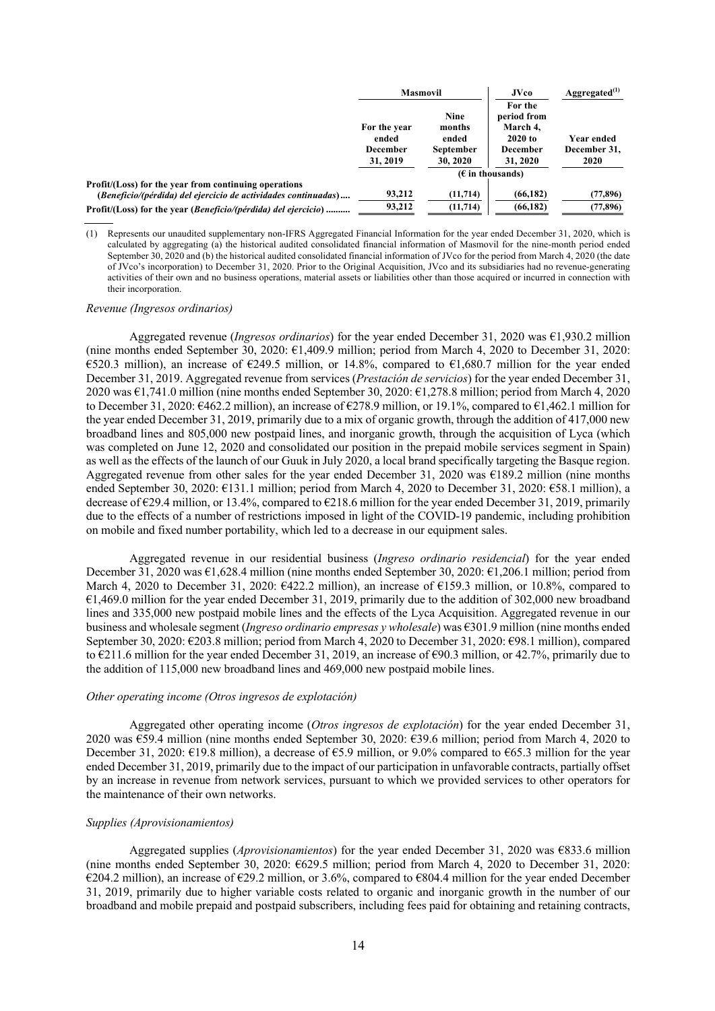| For the year                | <b>Nine</b><br>months        | For the<br>period from<br>March 4, |                                                                       |
|-----------------------------|------------------------------|------------------------------------|-----------------------------------------------------------------------|
| <b>December</b><br>31, 2019 | <b>September</b><br>30, 2020 | <b>December</b><br>31, 2020        | Year ended<br>December 31,<br>2020                                    |
|                             |                              |                                    |                                                                       |
| 93.212                      | (11, 714)                    | (66, 182)                          | (77,896)<br>(77, 896)                                                 |
|                             | 93.212                       | (11, 714)                          | $2020$ to<br>ended<br>ended<br>$(\epsilon$ in thousands)<br>(66, 182) |

(1) Represents our unaudited supplementary non-IFRS Aggregated Financial Information for the year ended December 31, 2020, which is calculated by aggregating (a) the historical audited consolidated financial information of Masmovil for the nine-month period ended September 30, 2020 and (b) the historical audited consolidated financial information of JVco for the period from March 4, 2020 (the date of JVco's incorporation) to December 31, 2020. Prior to the Original Acquisition, JVco and its subsidiaries had no revenue-generating activities of their own and no business operations, material assets or liabilities other than those acquired or incurred in connection with their incorporation.

#### *Revenue (Ingresos ordinarios)*

Aggregated revenue (*Ingresos ordinarios*) for the year ended December 31, 2020 was €1,930.2 million (nine months ended September 30, 2020: €1,409.9 million; period from March 4, 2020 to December 31, 2020: €520.3 million), an increase of €249.5 million, or 14.8%, compared to €1,680.7 million for the year ended December 31, 2019. Aggregated revenue from services (*Prestación de servicios*) for the year ended December 31, 2020 was €1,741.0 million (nine months ended September 30, 2020: €1,278.8 million; period from March 4, 2020 to December 31, 2020: €462.2 million), an increase of €278.9 million, or 19.1%, compared to €1,462.1 million for the year ended December 31, 2019, primarily due to a mix of organic growth, through the addition of 417,000 new broadband lines and 805,000 new postpaid lines, and inorganic growth, through the acquisition of Lyca (which was completed on June 12, 2020 and consolidated our position in the prepaid mobile services segment in Spain) as well as the effects of the launch of our Guuk in July 2020, a local brand specifically targeting the Basque region. Aggregated revenue from other sales for the year ended December 31, 2020 was  $\epsilon$ 189.2 million (nine months ended September 30, 2020: €131.1 million; period from March 4, 2020 to December 31, 2020: €58.1 million), a decrease of €29.4 million, or 13.4%, compared to €218.6 million for the year ended December 31, 2019, primarily due to the effects of a number of restrictions imposed in light of the COVID-19 pandemic, including prohibition on mobile and fixed number portability, which led to a decrease in our equipment sales.

Aggregated revenue in our residential business (*Ingreso ordinario residencial*) for the year ended December 31, 2020 was €1,628.4 million (nine months ended September 30, 2020: €1,206.1 million; period from March 4, 2020 to December 31, 2020:  $\epsilon$ 422.2 million), an increase of  $\epsilon$ 159.3 million, or 10.8%, compared to €1,469.0 million for the year ended December 31, 2019, primarily due to the addition of 302,000 new broadband lines and 335,000 new postpaid mobile lines and the effects of the Lyca Acquisition. Aggregated revenue in our business and wholesale segment (*Ingreso ordinario empresas y wholesale*) was €301.9 million (nine months ended September 30, 2020: €203.8 million; period from March 4, 2020 to December 31, 2020: €98.1 million), compared to €211.6 million for the year ended December 31, 2019, an increase of €90.3 million, or 42.7%, primarily due to the addition of 115,000 new broadband lines and 469,000 new postpaid mobile lines.

# *Other operating income (Otros ingresos de explotación)*

Aggregated other operating income (*Otros ingresos de explotación*) for the year ended December 31, 2020 was €59.4 million (nine months ended September 30, 2020: €39.6 million; period from March 4, 2020 to December 31, 2020: €19.8 million), a decrease of €5.9 million, or 9.0% compared to €65.3 million for the year ended December 31, 2019, primarily due to the impact of our participation in unfavorable contracts, partially offset by an increase in revenue from network services, pursuant to which we provided services to other operators for the maintenance of their own networks.

# *Supplies (Aprovisionamientos)*

Aggregated supplies (*Aprovisionamientos*) for the year ended December 31, 2020 was €833.6 million (nine months ended September 30, 2020: €629.5 million; period from March 4, 2020 to December 31, 2020: €204.2 million), an increase of €29.2 million, or 3.6%, compared to  $€804.4$  million for the year ended December 31, 2019, primarily due to higher variable costs related to organic and inorganic growth in the number of our broadband and mobile prepaid and postpaid subscribers, including fees paid for obtaining and retaining contracts,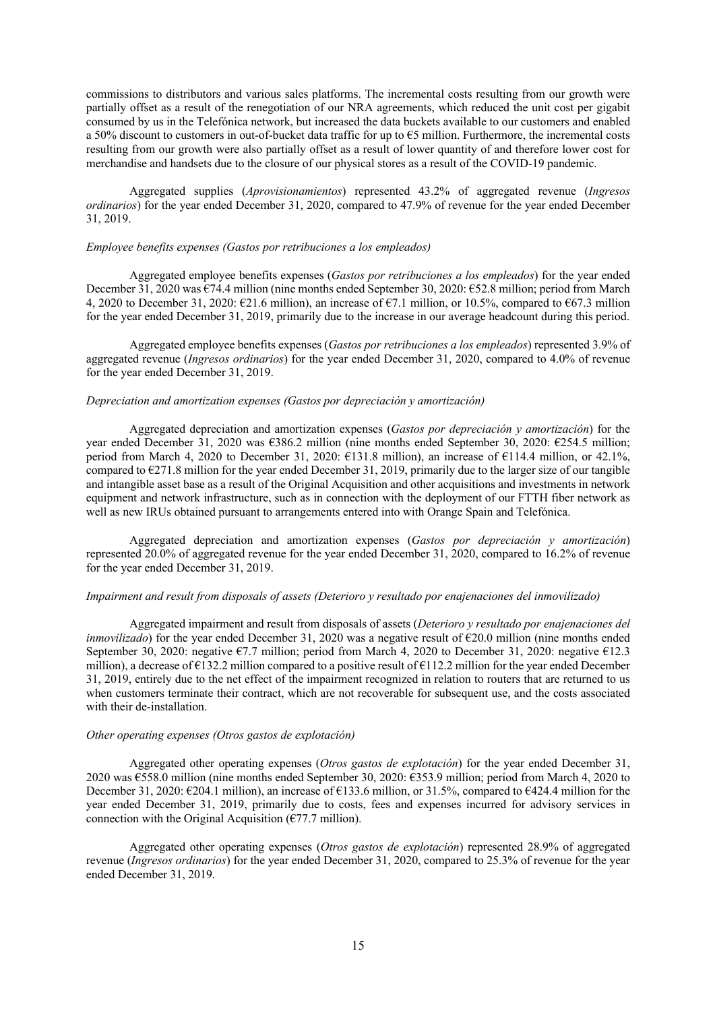commissions to distributors and various sales platforms. The incremental costs resulting from our growth were partially offset as a result of the renegotiation of our NRA agreements, which reduced the unit cost per gigabit consumed by us in the Telefónica network, but increased the data buckets available to our customers and enabled a 50% discount to customers in out-of-bucket data traffic for up to €5 million. Furthermore, the incremental costs resulting from our growth were also partially offset as a result of lower quantity of and therefore lower cost for merchandise and handsets due to the closure of our physical stores as a result of the COVID-19 pandemic.

Aggregated supplies (*Aprovisionamientos*) represented 43.2% of aggregated revenue (*Ingresos ordinarios*) for the year ended December 31, 2020, compared to 47.9% of revenue for the year ended December 31, 2019.

# *Employee benefits expenses (Gastos por retribuciones a los empleados)*

Aggregated employee benefits expenses (*Gastos por retribuciones a los empleados*) for the year ended December 31, 2020 was €74.4 million (nine months ended September 30, 2020: €52.8 million; period from March 4, 2020 to December 31, 2020:  $\epsilon$ 21.6 million), an increase of  $\epsilon$ 7.1 million, or 10.5%, compared to  $\epsilon$ 67.3 million for the year ended December 31, 2019, primarily due to the increase in our average headcount during this period.

Aggregated employee benefits expenses (*Gastos por retribuciones a los empleados*) represented 3.9% of aggregated revenue (*Ingresos ordinarios*) for the year ended December 31, 2020, compared to 4.0% of revenue for the year ended December 31, 2019.

# *Depreciation and amortization expenses (Gastos por depreciación y amortización)*

Aggregated depreciation and amortization expenses (*Gastos por depreciación y amortización*) for the year ended December 31, 2020 was €386.2 million (nine months ended September 30, 2020: €254.5 million; period from March 4, 2020 to December 31, 2020: €131.8 million), an increase of €114.4 million, or 42.1%, compared to  $\epsilon$ 271.8 million for the year ended December 31, 2019, primarily due to the larger size of our tangible and intangible asset base as a result of the Original Acquisition and other acquisitions and investments in network equipment and network infrastructure, such as in connection with the deployment of our FTTH fiber network as well as new IRUs obtained pursuant to arrangements entered into with Orange Spain and Telefónica.

Aggregated depreciation and amortization expenses (*Gastos por depreciación y amortización*) represented 20.0% of aggregated revenue for the year ended December 31, 2020, compared to 16.2% of revenue for the year ended December 31, 2019.

# *Impairment and result from disposals of assets (Deterioro y resultado por enajenaciones del inmovilizado)*

Aggregated impairment and result from disposals of assets (*Deterioro y resultado por enajenaciones del inmovilizado*) for the year ended December 31, 2020 was a negative result of  $\epsilon$ 20.0 million (nine months ended September 30, 2020: negative  $\epsilon$ 7.7 million; period from March 4, 2020 to December 31, 2020: negative  $\epsilon$ 12.3 million), a decrease of €132.2 million compared to a positive result of €112.2 million for the year ended December 31, 2019, entirely due to the net effect of the impairment recognized in relation to routers that are returned to us when customers terminate their contract, which are not recoverable for subsequent use, and the costs associated with their de-installation.

# *Other operating expenses (Otros gastos de explotación)*

Aggregated other operating expenses (*Otros gastos de explotación*) for the year ended December 31, 2020 was €558.0 million (nine months ended September 30, 2020: €353.9 million; period from March 4, 2020 to December 31, 2020: €204.1 million), an increase of €133.6 million, or 31.5%, compared to €424.4 million for the year ended December 31, 2019, primarily due to costs, fees and expenses incurred for advisory services in connection with the Original Acquisition ( $\epsilon$ 77.7 million).

Aggregated other operating expenses (*Otros gastos de explotación*) represented 28.9% of aggregated revenue (*Ingresos ordinarios*) for the year ended December 31, 2020, compared to 25.3% of revenue for the year ended December 31, 2019.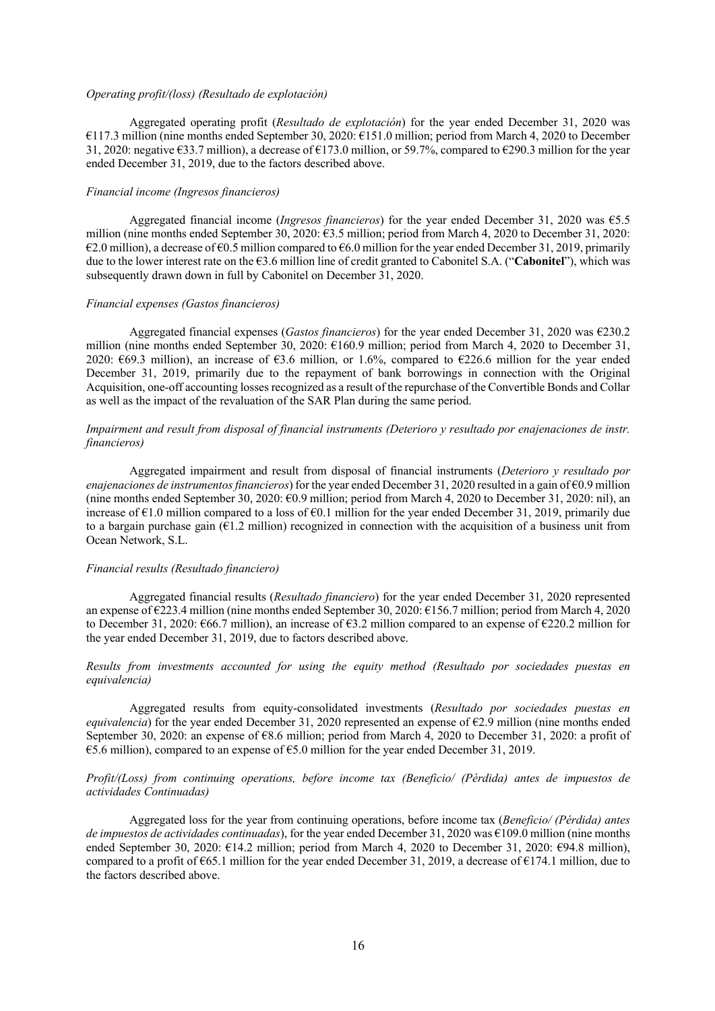#### *Operating profit/(loss) (Resultado de explotación)*

Aggregated operating profit (*Resultado de explotación*) for the year ended December 31, 2020 was €117.3 million (nine months ended September 30, 2020: €151.0 million; period from March 4, 2020 to December 31, 2020: negative €33.7 million), a decrease of €173.0 million, or 59.7%, compared to €290.3 million for the year ended December 31, 2019, due to the factors described above.

# *Financial income (Ingresos financieros)*

Aggregated financial income (*Ingresos financieros*) for the year ended December 31, 2020 was €5.5 million (nine months ended September 30, 2020: €3.5 million; period from March 4, 2020 to December 31, 2020:  $€2.0$  million), a decrease of €0.5 million compared to €6.0 million for the year ended December 31, 2019, primarily due to the lower interest rate on the €3.6 million line of credit granted to Cabonitel S.A. ("**Cabonitel**"), which was subsequently drawn down in full by Cabonitel on December 31, 2020.

## *Financial expenses (Gastos financieros)*

Aggregated financial expenses (*Gastos financieros*) for the year ended December 31, 2020 was €230.2 million (nine months ended September 30, 2020: €160.9 million; period from March 4, 2020 to December 31, 2020:  $\epsilon$ 69.3 million), an increase of  $\epsilon$ 3.6 million, or 1.6%, compared to  $\epsilon$ 226.6 million for the year ended December 31, 2019, primarily due to the repayment of bank borrowings in connection with the Original Acquisition, one-off accounting losses recognized as a result of the repurchase of the Convertible Bonds and Collar as well as the impact of the revaluation of the SAR Plan during the same period.

# *Impairment and result from disposal of financial instruments (Deterioro y resultado por enajenaciones de instr. financieros)*

Aggregated impairment and result from disposal of financial instruments (*Deterioro y resultado por enajenaciones de instrumentos financieros*) for the year ended December 31, 2020 resulted in a gain of €0.9 million (nine months ended September 30, 2020: €0.9 million; period from March 4, 2020 to December 31, 2020: nil), an increase of  $\epsilon$ 1.0 million compared to a loss of  $\epsilon$ 0.1 million for the year ended December 31, 2019, primarily due to a bargain purchase gain  $(61.2 \text{ million})$  recognized in connection with the acquisition of a business unit from Ocean Network, S.L.

## *Financial results (Resultado financiero)*

Aggregated financial results (*Resultado financiero*) for the year ended December 31, 2020 represented an expense of €223.4 million (nine months ended September 30, 2020: €156.7 million; period from March 4, 2020 to December 31, 2020: €66.7 million), an increase of €3.2 million compared to an expense of €220.2 million for the year ended December 31, 2019, due to factors described above.

# *Results from investments accounted for using the equity method (Resultado por sociedades puestas en equivalencia)*

Aggregated results from equity-consolidated investments (*Resultado por sociedades puestas en equivalencia*) for the year ended December 31, 2020 represented an expense of  $\epsilon$ 2.9 million (nine months ended September 30, 2020: an expense of €8.6 million; period from March 4, 2020 to December 31, 2020: a profit of €5.6 million), compared to an expense of €5.0 million for the year ended December 31, 2019.

# *Profit/(Loss) from continuing operations, before income tax (Beneficio/ (Pérdida) antes de impuestos de actividades Continuadas)*

Aggregated loss for the year from continuing operations, before income tax (*Beneficio/ (Pérdida) antes de impuestos de actividades continuadas*), for the year ended December 31, 2020 was €109.0 million (nine months ended September 30, 2020: €14.2 million; period from March 4, 2020 to December 31, 2020: €94.8 million), compared to a profit of €65.1 million for the year ended December 31, 2019, a decrease of €174.1 million, due to the factors described above.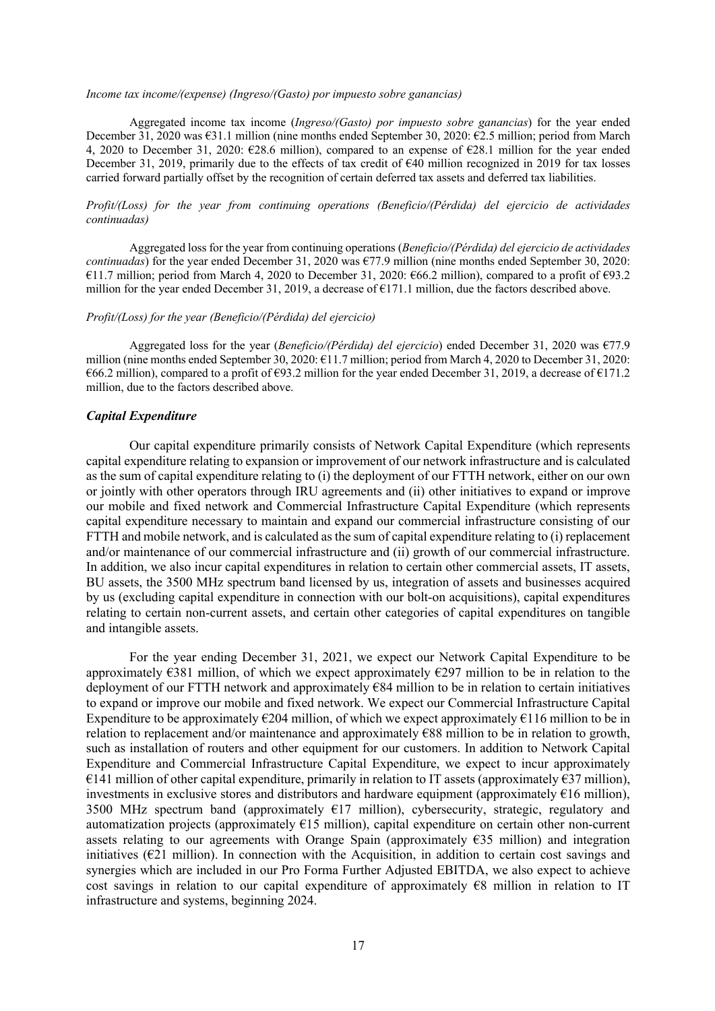#### *Income tax income/(expense) (Ingreso/(Gasto) por impuesto sobre ganancias)*

Aggregated income tax income (*Ingreso/(Gasto) por impuesto sobre ganancias*) for the year ended December 31, 2020 was €31.1 million (nine months ended September 30, 2020: €2.5 million; period from March 4, 2020 to December 31, 2020: €28.6 million), compared to an expense of €28.1 million for the year ended December 31, 2019, primarily due to the effects of tax credit of €40 million recognized in 2019 for tax losses carried forward partially offset by the recognition of certain deferred tax assets and deferred tax liabilities.

# *Profit/(Loss) for the year from continuing operations (Beneficio/(Pérdida) del ejercicio de actividades continuadas)*

Aggregated loss for the year from continuing operations (*Beneficio/(Pérdida) del ejercicio de actividades continuadas*) for the year ended December 31, 2020 was €77.9 million (nine months ended September 30, 2020: €11.7 million; period from March 4, 2020 to December 31, 2020: €66.2 million), compared to a profit of €93.2 million for the year ended December 31, 2019, a decrease of  $E171.1$  million, due the factors described above.

# *Profit/(Loss) for the year (Beneficio/(Pérdida) del ejercicio)*

Aggregated loss for the year (*Beneficio/(Pérdida) del ejercicio*) ended December 31, 2020 was €77.9 million (nine months ended September 30, 2020: €11.7 million; period from March 4, 2020 to December 31, 2020: €66.2 million), compared to a profit of €93.2 million for the year ended December 31, 2019, a decrease of €171.2 million, due to the factors described above.

# *Capital Expenditure*

Our capital expenditure primarily consists of Network Capital Expenditure (which represents capital expenditure relating to expansion or improvement of our network infrastructure and is calculated as the sum of capital expenditure relating to (i) the deployment of our FTTH network, either on our own or jointly with other operators through IRU agreements and (ii) other initiatives to expand or improve our mobile and fixed network and Commercial Infrastructure Capital Expenditure (which represents capital expenditure necessary to maintain and expand our commercial infrastructure consisting of our FTTH and mobile network, and is calculated as the sum of capital expenditure relating to (i) replacement and/or maintenance of our commercial infrastructure and (ii) growth of our commercial infrastructure. In addition, we also incur capital expenditures in relation to certain other commercial assets, IT assets, BU assets, the 3500 MHz spectrum band licensed by us, integration of assets and businesses acquired by us (excluding capital expenditure in connection with our bolt-on acquisitions), capital expenditures relating to certain non-current assets, and certain other categories of capital expenditures on tangible and intangible assets.

For the year ending December 31, 2021, we expect our Network Capital Expenditure to be approximately  $\epsilon$ 381 million, of which we expect approximately  $\epsilon$ 297 million to be in relation to the deployment of our FTTH network and approximately €84 million to be in relation to certain initiatives to expand or improve our mobile and fixed network. We expect our Commercial Infrastructure Capital Expenditure to be approximately  $\epsilon$ 204 million, of which we expect approximately  $\epsilon$ 116 million to be in relation to replacement and/or maintenance and approximately €88 million to be in relation to growth, such as installation of routers and other equipment for our customers. In addition to Network Capital Expenditure and Commercial Infrastructure Capital Expenditure, we expect to incur approximately €141 million of other capital expenditure, primarily in relation to IT assets (approximately  $€37$  million), investments in exclusive stores and distributors and hardware equipment (approximately  $€16$  million), 3500 MHz spectrum band (approximately  $E17$  million), cybersecurity, strategic, regulatory and automatization projects (approximately  $E15$  million), capital expenditure on certain other non-current assets relating to our agreements with Orange Spain (approximately  $E35$  million) and integration initiatives  $(E21)$  million). In connection with the Acquisition, in addition to certain cost savings and synergies which are included in our Pro Forma Further Adjusted EBITDA, we also expect to achieve cost savings in relation to our capital expenditure of approximately  $\epsilon$ 8 million in relation to IT infrastructure and systems, beginning 2024.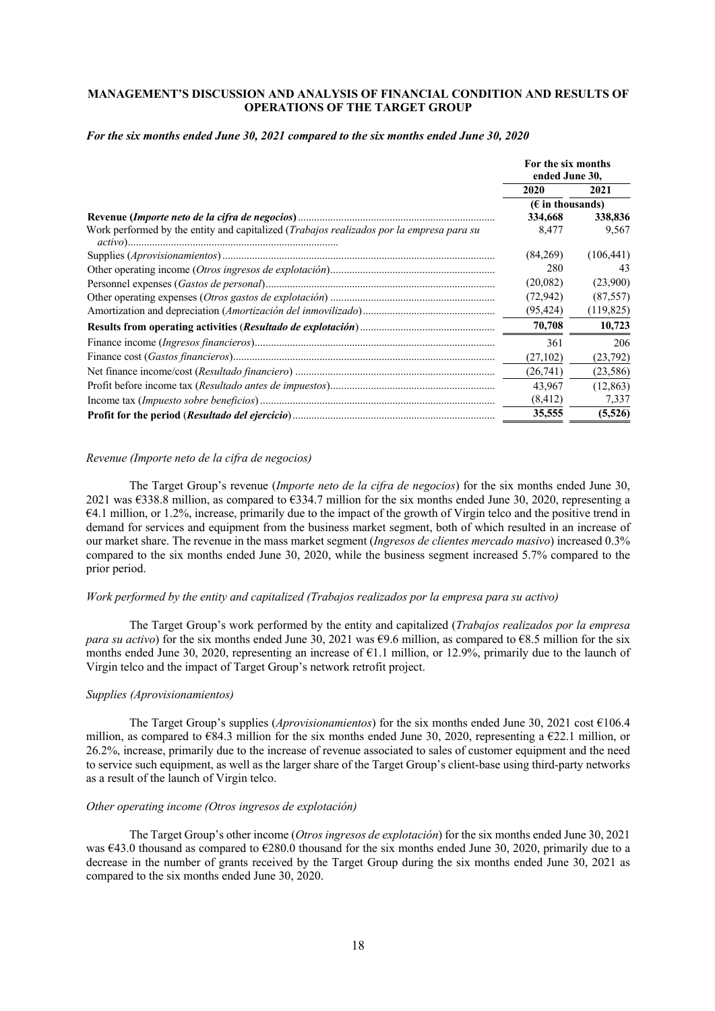# **MANAGEMENT'S DISCUSSION AND ANALYSIS OF FINANCIAL CONDITION AND RESULTS OF OPERATIONS OF THE TARGET GROUP**

### *For the six months ended June 30, 2021 compared to the six months ended June 30, 2020*

|                                                                                                  | For the six months<br>ended June 30, |            |
|--------------------------------------------------------------------------------------------------|--------------------------------------|------------|
|                                                                                                  | 2020                                 | 2021       |
|                                                                                                  | $(E$ in thousands)                   |            |
|                                                                                                  | 334,668                              | 338,836    |
| Work performed by the entity and capitalized ( <i>Trabajos realizados por la empresa para su</i> | 8,477                                | 9,567      |
|                                                                                                  | (84,269)                             | (106, 441) |
|                                                                                                  | 280                                  | 43         |
|                                                                                                  | (20,082)                             | (23,900)   |
|                                                                                                  | (72, 942)                            | (87, 557)  |
|                                                                                                  | (95, 424)                            | (119, 825) |
|                                                                                                  | 70,708                               | 10,723     |
|                                                                                                  | 361                                  | 206        |
|                                                                                                  | (27,102)                             | (23, 792)  |
|                                                                                                  | (26,741)                             | (23, 586)  |
|                                                                                                  | 43.967                               | (12, 863)  |
|                                                                                                  | (8, 412)                             | 7,337      |
|                                                                                                  | 35,555                               | (5,526)    |

#### *Revenue (Importe neto de la cifra de negocios)*

The Target Group's revenue (*Importe neto de la cifra de negocios*) for the six months ended June 30, 2021 was €338.8 million, as compared to €334.7 million for the six months ended June 30, 2020, representing a €4.1 million, or 1.2%, increase, primarily due to the impact of the growth of Virgin telco and the positive trend in demand for services and equipment from the business market segment, both of which resulted in an increase of our market share. The revenue in the mass market segment (*Ingresos de clientes mercado masivo*) increased 0.3% compared to the six months ended June 30, 2020, while the business segment increased 5.7% compared to the prior period.

# *Work performed by the entity and capitalized (Trabajos realizados por la empresa para su activo)*

The Target Group's work performed by the entity and capitalized (*Trabajos realizados por la empresa para su activo*) for the six months ended June 30, 2021 was €9.6 million, as compared to €8.5 million for the six months ended June 30, 2020, representing an increase of  $\epsilon$ 1.1 million, or 12.9%, primarily due to the launch of Virgin telco and the impact of Target Group's network retrofit project.

# *Supplies (Aprovisionamientos)*

The Target Group's supplies (*Aprovisionamientos*) for the six months ended June 30, 2021 cost €106.4 million, as compared to  $\epsilon$ 84.3 million for the six months ended June 30, 2020, representing a  $\epsilon$ 22.1 million, or 26.2%, increase, primarily due to the increase of revenue associated to sales of customer equipment and the need to service such equipment, as well as the larger share of the Target Group's client-base using third-party networks as a result of the launch of Virgin telco.

# *Other operating income (Otros ingresos de explotación)*

The Target Group's other income (*Otros ingresos de explotación*) for the six months ended June 30, 2021 was  $643.0$  thousand as compared to  $6280.0$  thousand for the six months ended June 30, 2020, primarily due to a decrease in the number of grants received by the Target Group during the six months ended June 30, 2021 as compared to the six months ended June 30, 2020.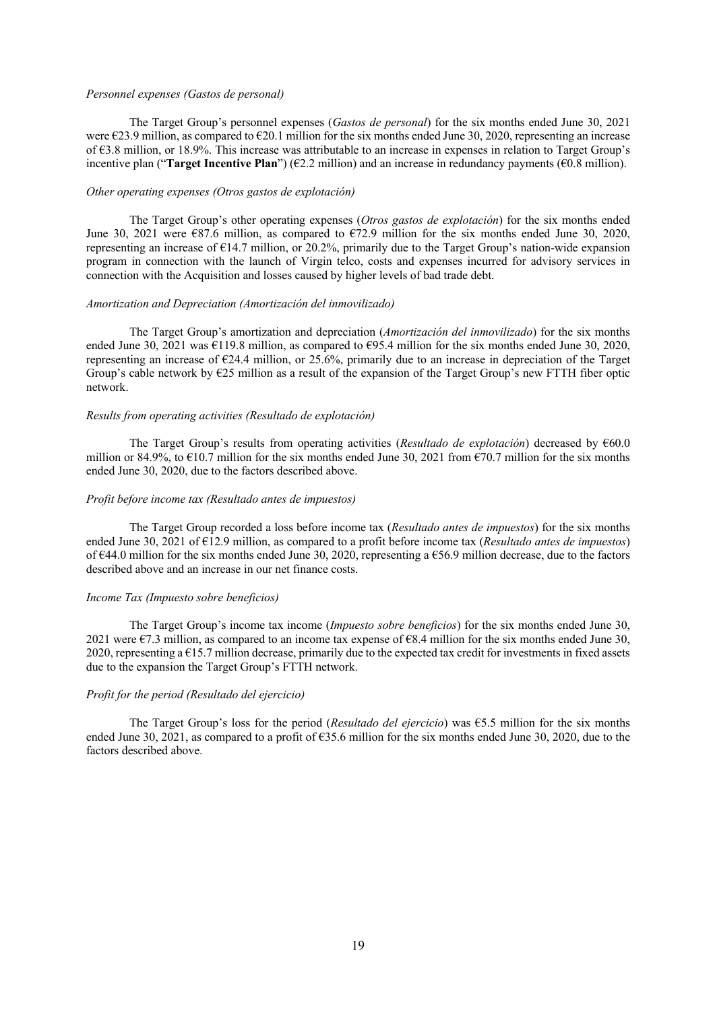#### *Personnel expenses (Gastos de personal)*

The Target Group's personnel expenses (*Gastos de personal*) for the six months ended June 30, 2021 were  $\epsilon$ 23.9 million, as compared to  $\epsilon$ 20.1 million for the six months ended June 30, 2020, representing an increase of €3.8 million, or 18.9%. This increase was attributable to an increase in expenses in relation to Target Group's incentive plan ("**Target Incentive Plan**") ( $\epsilon$ 2.2 million) and an increase in redundancy payments ( $\epsilon$ 0.8 million).

### *Other operating expenses (Otros gastos de explotación)*

The Target Group's other operating expenses (*Otros gastos de explotación*) for the six months ended June 30, 2021 were  $\epsilon$ 87.6 million, as compared to  $\epsilon$ 72.9 million for the six months ended June 30, 2020, representing an increase of  $\epsilon$ 14.7 million, or 20.2%, primarily due to the Target Group's nation-wide expansion program in connection with the launch of Virgin telco, costs and expenses incurred for advisory services in connection with the Acquisition and losses caused by higher levels of bad trade debt.

# *Amortization and Depreciation (Amortización del inmovilizado)*

The Target Group's amortization and depreciation (*Amortización del inmovilizado*) for the six months ended June 30, 2021 was  $\epsilon$ 119.8 million, as compared to  $\epsilon$ 95.4 million for the six months ended June 30, 2020, representing an increase of €24.4 million, or 25.6%, primarily due to an increase in depreciation of the Target Group's cable network by  $\epsilon$ 25 million as a result of the expansion of the Target Group's new FTTH fiber optic network.

# *Results from operating activities (Resultado de explotación)*

The Target Group's results from operating activities (*Resultado de explotación*) decreased by €60.0 million or 84.9%, to  $\epsilon$ 10.7 million for the six months ended June 30, 2021 from  $\epsilon$ 70.7 million for the six months ended June 30, 2020, due to the factors described above.

#### *Profit before income tax (Resultado antes de impuestos)*

The Target Group recorded a loss before income tax (*Resultado antes de impuestos*) for the six months ended June 30, 2021 of €12.9 million, as compared to a profit before income tax (*Resultado antes de impuestos*) of €44.0 million for the six months ended June 30, 2020, representing a €56.9 million decrease, due to the factors described above and an increase in our net finance costs.

# *Income Tax (Impuesto sobre beneficios)*

The Target Group's income tax income (*Impuesto sobre beneficios*) for the six months ended June 30, 2021 were  $\epsilon$ 7.3 million, as compared to an income tax expense of  $\epsilon$ 8.4 million for the six months ended June 30, 2020, representing a  $E$ 15.7 million decrease, primarily due to the expected tax credit for investments in fixed assets due to the expansion the Target Group's FTTH network.

# *Profit for the period (Resultado del ejercicio)*

The Target Group's loss for the period (*Resultado del ejercicio*) was €5.5 million for the six months ended June 30, 2021, as compared to a profit of  $\epsilon$ 35.6 million for the six months ended June 30, 2020, due to the factors described above.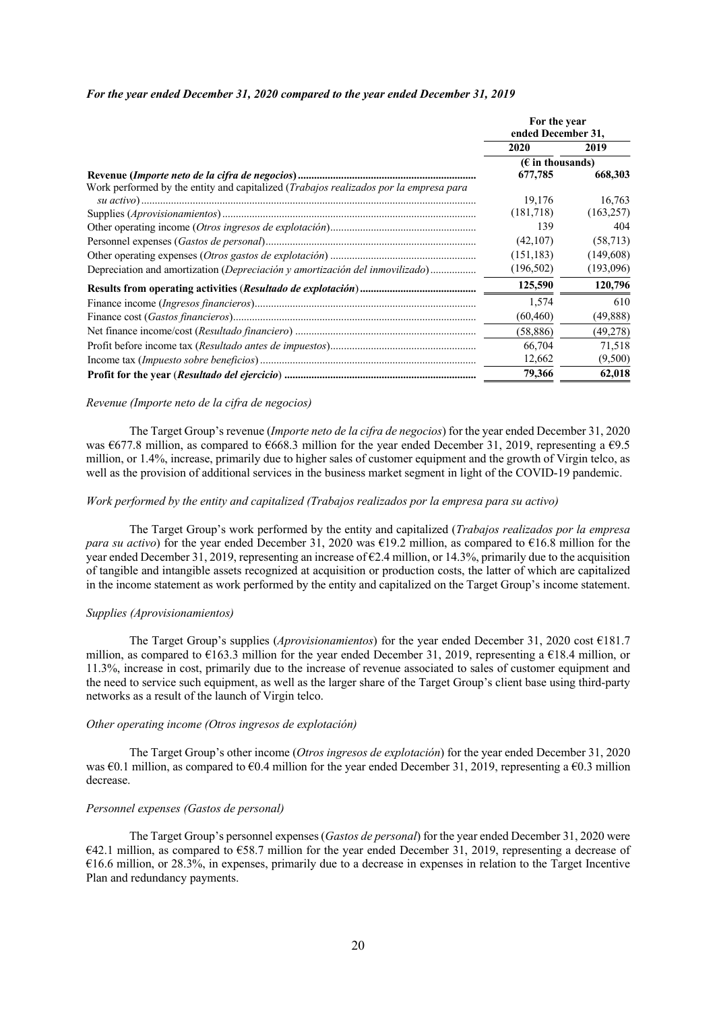#### *For the year ended December 31, 2020 compared to the year ended December 31, 2019*

|                                                                                               | For the year<br>ended December 31, |            |
|-----------------------------------------------------------------------------------------------|------------------------------------|------------|
|                                                                                               | 2020                               | 2019       |
|                                                                                               | $(E \in \mathbb{R})$ in thousands) |            |
|                                                                                               | 677,785                            | 668,303    |
| Work performed by the entity and capitalized ( <i>Trabajos realizados por la empresa para</i> |                                    |            |
|                                                                                               | 19.176                             | 16.763     |
|                                                                                               | (181,718)                          | (163, 257) |
|                                                                                               | 139                                | 404        |
|                                                                                               | (42,107)                           | (58, 713)  |
|                                                                                               | (151, 183)                         | (149,608)  |
| Depreciation and amortization (Depreciación y amortización del inmovilizado)                  | (196, 502)                         | (193,096)  |
|                                                                                               | 125,590                            | 120,796    |
|                                                                                               | 1,574                              | 610        |
|                                                                                               | (60, 460)                          | (49,888)   |
|                                                                                               | (58, 886)                          | (49,278)   |
|                                                                                               | 66,704                             | 71,518     |
|                                                                                               | 12,662                             | (9,500)    |
|                                                                                               | 79,366                             | 62,018     |

#### *Revenue (Importe neto de la cifra de negocios)*

The Target Group's revenue (*Importe neto de la cifra de negocios*) for the year ended December 31, 2020 was  $\epsilon$ 677.8 million, as compared to  $\epsilon$ 668.3 million for the year ended December 31, 2019, representing a  $\epsilon$ 9.5 million, or 1.4%, increase, primarily due to higher sales of customer equipment and the growth of Virgin telco, as well as the provision of additional services in the business market segment in light of the COVID-19 pandemic.

#### *Work performed by the entity and capitalized (Trabajos realizados por la empresa para su activo)*

The Target Group's work performed by the entity and capitalized (*Trabajos realizados por la empresa para su activo*) for the year ended December 31, 2020 was €19.2 million, as compared to €16.8 million for the year ended December 31, 2019, representing an increase of €2.4 million, or 14.3%, primarily due to the acquisition of tangible and intangible assets recognized at acquisition or production costs, the latter of which are capitalized in the income statement as work performed by the entity and capitalized on the Target Group's income statement.

#### *Supplies (Aprovisionamientos)*

The Target Group's supplies (*Aprovisionamientos*) for the year ended December 31, 2020 cost €181.7 million, as compared to  $\epsilon$ 163.3 million for the year ended December 31, 2019, representing a  $\epsilon$ 18.4 million, or 11.3%, increase in cost, primarily due to the increase of revenue associated to sales of customer equipment and the need to service such equipment, as well as the larger share of the Target Group's client base using third-party networks as a result of the launch of Virgin telco.

#### *Other operating income (Otros ingresos de explotación)*

The Target Group's other income (*Otros ingresos de explotación*) for the year ended December 31, 2020 was  $\epsilon$ 0.1 million, as compared to  $\epsilon$ 0.4 million for the year ended December 31, 2019, representing a  $\epsilon$ 0.3 million decrease.

# *Personnel expenses (Gastos de personal)*

The Target Group's personnel expenses (*Gastos de personal*) for the year ended December 31, 2020 were €42.1 million, as compared to €58.7 million for the year ended December 31, 2019, representing a decrease of  $\epsilon$ 16.6 million, or 28.3%, in expenses, primarily due to a decrease in expenses in relation to the Target Incentive Plan and redundancy payments.